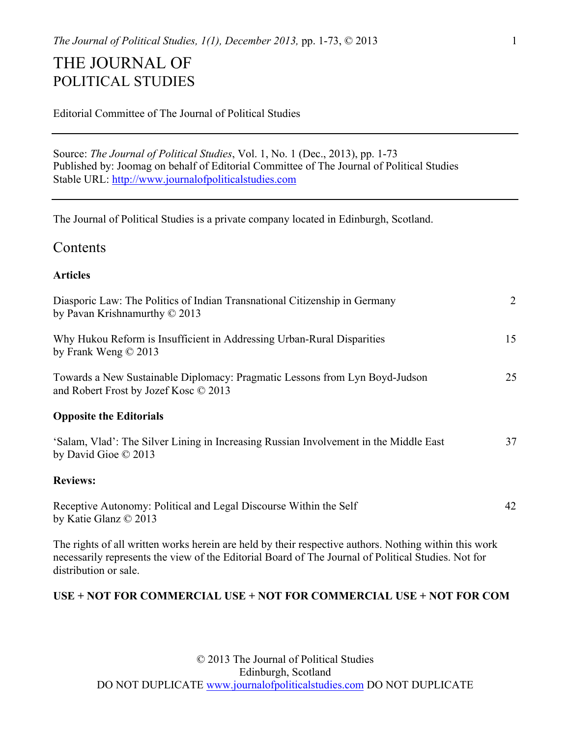## THE JOURNAL OF POLITICAL STUDIES

|  |  |  |  | <b>Editorial Committee of The Journal of Political Studies</b> |  |
|--|--|--|--|----------------------------------------------------------------|--|
|--|--|--|--|----------------------------------------------------------------|--|

Source: *The Journal of Political Studies*, Vol. 1, No. 1 (Dec., 2013), pp. 1-73 Published by: Joomag on behalf of Editorial Committee of The Journal of Political Studies Stable URL: http://www.journalofpoliticalstudies.com

The Journal of Political Studies is a private company located in Edinburgh, Scotland.

## **Contents**

## **Articles**

| Diasporic Law: The Politics of Indian Transnational Citizenship in Germany<br>by Pavan Krishnamurthy $\odot$ 2013                                                                                                                     | $\overline{2}$ |
|---------------------------------------------------------------------------------------------------------------------------------------------------------------------------------------------------------------------------------------|----------------|
| Why Hukou Reform is Insufficient in Addressing Urban-Rural Disparities<br>by Frank Weng $\odot$ 2013                                                                                                                                  | 15             |
| Towards a New Sustainable Diplomacy: Pragmatic Lessons from Lyn Boyd-Judson<br>and Robert Frost by Jozef Kosc © 2013                                                                                                                  | 25             |
| <b>Opposite the Editorials</b>                                                                                                                                                                                                        |                |
| 'Salam, Vlad': The Silver Lining in Increasing Russian Involvement in the Middle East<br>by David Gioe $\odot$ 2013                                                                                                                   | 37             |
| <b>Reviews:</b>                                                                                                                                                                                                                       |                |
| Receptive Autonomy: Political and Legal Discourse Within the Self<br>by Katie Glanz © 2013                                                                                                                                            | 42             |
| The rights of all written works herein are held by their respective authors. Nothing within this work<br>necessarily represents the view of the Editorial Board of The Journal of Political Studies. Not for<br>distribution or sale. |                |

## **USE + NOT FOR COMMERCIAL USE + NOT FOR COMMERCIAL USE + NOT FOR COM**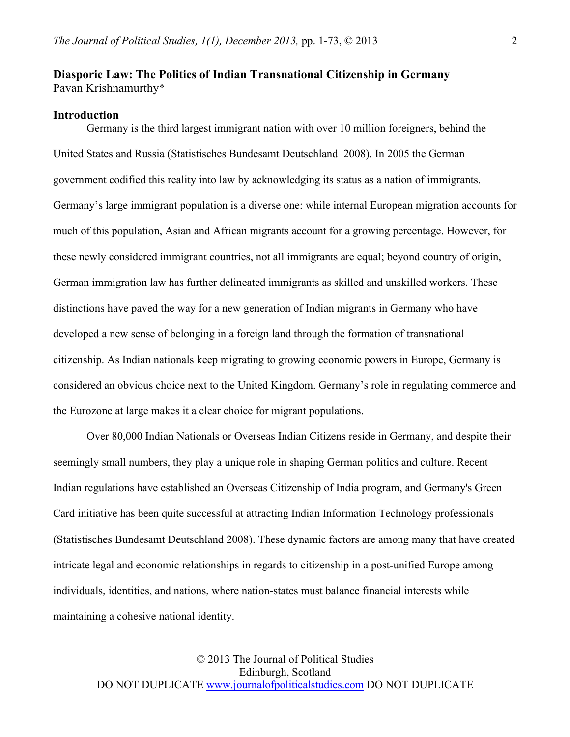## **Diasporic Law: The Politics of Indian Transnational Citizenship in Germany**  Pavan Krishnamurthy\*

#### **Introduction**

Germany is the third largest immigrant nation with over 10 million foreigners, behind the United States and Russia (Statistisches Bundesamt Deutschland 2008). In 2005 the German government codified this reality into law by acknowledging its status as a nation of immigrants. Germany's large immigrant population is a diverse one: while internal European migration accounts for much of this population, Asian and African migrants account for a growing percentage. However, for these newly considered immigrant countries, not all immigrants are equal; beyond country of origin, German immigration law has further delineated immigrants as skilled and unskilled workers. These distinctions have paved the way for a new generation of Indian migrants in Germany who have developed a new sense of belonging in a foreign land through the formation of transnational citizenship. As Indian nationals keep migrating to growing economic powers in Europe, Germany is considered an obvious choice next to the United Kingdom. Germany's role in regulating commerce and the Eurozone at large makes it a clear choice for migrant populations.

Over 80,000 Indian Nationals or Overseas Indian Citizens reside in Germany, and despite their seemingly small numbers, they play a unique role in shaping German politics and culture. Recent Indian regulations have established an Overseas Citizenship of India program, and Germany's Green Card initiative has been quite successful at attracting Indian Information Technology professionals (Statistisches Bundesamt Deutschland 2008). These dynamic factors are among many that have created intricate legal and economic relationships in regards to citizenship in a post-unified Europe among individuals, identities, and nations, where nation-states must balance financial interests while maintaining a cohesive national identity.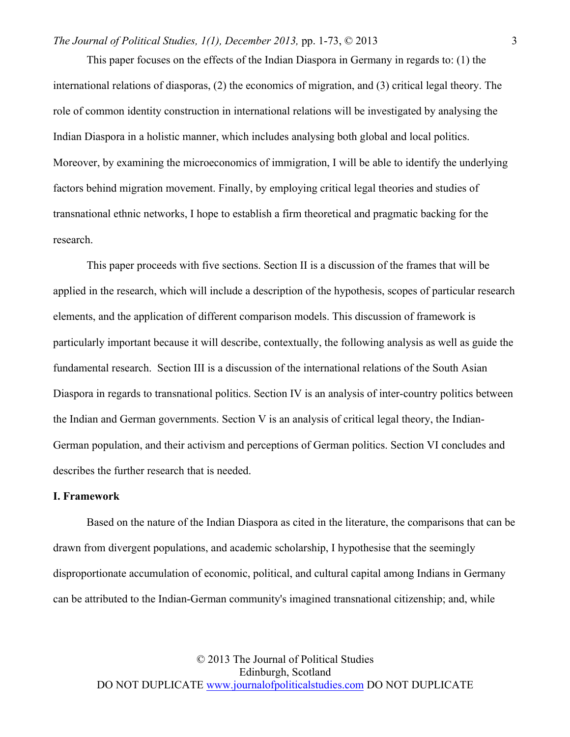This paper focuses on the effects of the Indian Diaspora in Germany in regards to: (1) the international relations of diasporas, (2) the economics of migration, and (3) critical legal theory. The role of common identity construction in international relations will be investigated by analysing the Indian Diaspora in a holistic manner, which includes analysing both global and local politics. Moreover, by examining the microeconomics of immigration, I will be able to identify the underlying factors behind migration movement. Finally, by employing critical legal theories and studies of transnational ethnic networks, I hope to establish a firm theoretical and pragmatic backing for the research.

This paper proceeds with five sections. Section II is a discussion of the frames that will be applied in the research, which will include a description of the hypothesis, scopes of particular research elements, and the application of different comparison models. This discussion of framework is particularly important because it will describe, contextually, the following analysis as well as guide the fundamental research. Section III is a discussion of the international relations of the South Asian Diaspora in regards to transnational politics. Section IV is an analysis of inter-country politics between the Indian and German governments. Section V is an analysis of critical legal theory, the Indian-German population, and their activism and perceptions of German politics. Section VI concludes and describes the further research that is needed.

#### **I. Framework**

Based on the nature of the Indian Diaspora as cited in the literature, the comparisons that can be drawn from divergent populations, and academic scholarship, I hypothesise that the seemingly disproportionate accumulation of economic, political, and cultural capital among Indians in Germany can be attributed to the Indian-German community's imagined transnational citizenship; and, while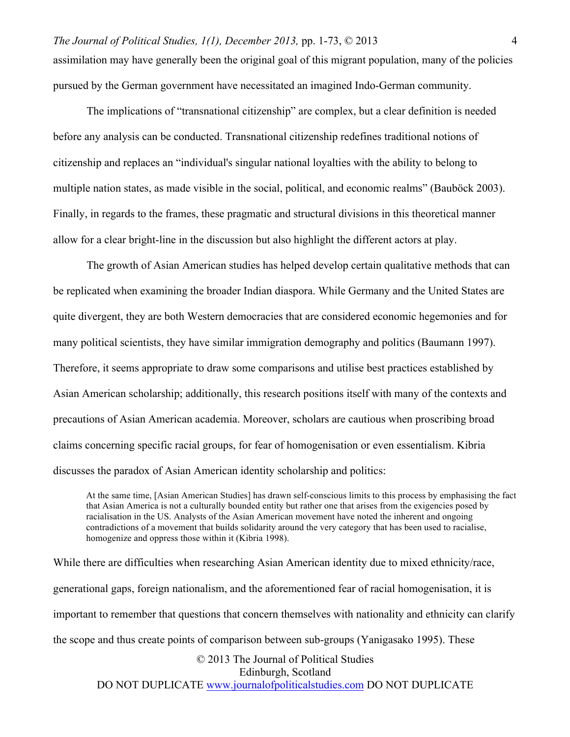pursued by the German government have necessitated an imagined Indo-German community.

4

The implications of "transnational citizenship" are complex, but a clear definition is needed before any analysis can be conducted. Transnational citizenship redefines traditional notions of citizenship and replaces an "individual's singular national loyalties with the ability to belong to multiple nation states, as made visible in the social, political, and economic realms" (Bauböck 2003). Finally, in regards to the frames, these pragmatic and structural divisions in this theoretical manner allow for a clear bright-line in the discussion but also highlight the different actors at play.

The growth of Asian American studies has helped develop certain qualitative methods that can be replicated when examining the broader Indian diaspora. While Germany and the United States are quite divergent, they are both Western democracies that are considered economic hegemonies and for many political scientists, they have similar immigration demography and politics (Baumann 1997). Therefore, it seems appropriate to draw some comparisons and utilise best practices established by Asian American scholarship; additionally, this research positions itself with many of the contexts and precautions of Asian American academia. Moreover, scholars are cautious when proscribing broad claims concerning specific racial groups, for fear of homogenisation or even essentialism. Kibria discusses the paradox of Asian American identity scholarship and politics:

At the same time, [Asian American Studies] has drawn self-conscious limits to this process by emphasising the fact that Asian America is not a culturally bounded entity but rather one that arises from the exigencies posed by racialisation in the US. Analysts of the Asian American movement have noted the inherent and ongoing contradictions of a movement that builds solidarity around the very category that has been used to racialise, homogenize and oppress those within it (Kibria 1998).

© 2013 The Journal of Political Studies While there are difficulties when researching Asian American identity due to mixed ethnicity/race, generational gaps, foreign nationalism, and the aforementioned fear of racial homogenisation, it is important to remember that questions that concern themselves with nationality and ethnicity can clarify the scope and thus create points of comparison between sub-groups (Yanigasako 1995). These

Edinburgh, Scotland DO NOT DUPLICATE www.journalofpoliticalstudies.com DO NOT DUPLICATE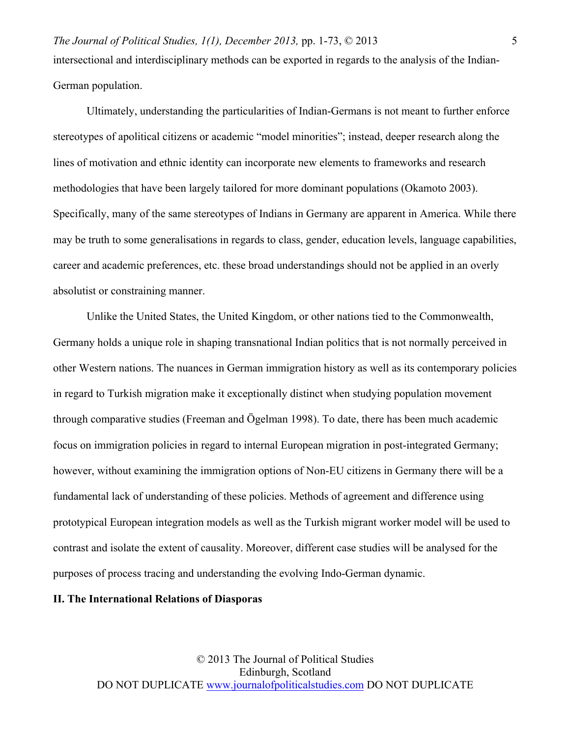Ultimately, understanding the particularities of Indian-Germans is not meant to further enforce stereotypes of apolitical citizens or academic "model minorities"; instead, deeper research along the lines of motivation and ethnic identity can incorporate new elements to frameworks and research methodologies that have been largely tailored for more dominant populations (Okamoto 2003). Specifically, many of the same stereotypes of Indians in Germany are apparent in America. While there may be truth to some generalisations in regards to class, gender, education levels, language capabilities, career and academic preferences, etc. these broad understandings should not be applied in an overly absolutist or constraining manner.

Unlike the United States, the United Kingdom, or other nations tied to the Commonwealth, Germany holds a unique role in shaping transnational Indian politics that is not normally perceived in other Western nations. The nuances in German immigration history as well as its contemporary policies in regard to Turkish migration make it exceptionally distinct when studying population movement through comparative studies (Freeman and Ögelman 1998). To date, there has been much academic focus on immigration policies in regard to internal European migration in post-integrated Germany; however, without examining the immigration options of Non-EU citizens in Germany there will be a fundamental lack of understanding of these policies. Methods of agreement and difference using prototypical European integration models as well as the Turkish migrant worker model will be used to contrast and isolate the extent of causality. Moreover, different case studies will be analysed for the purposes of process tracing and understanding the evolving Indo-German dynamic.

## **II. The International Relations of Diasporas**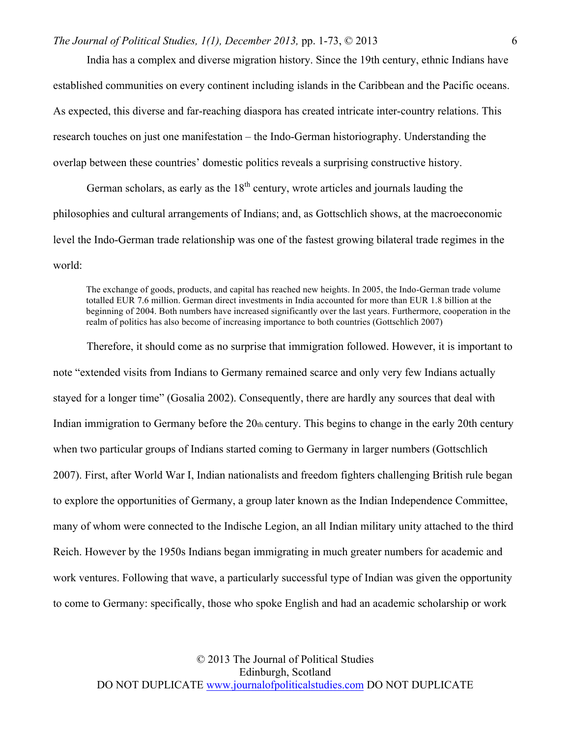India has a complex and diverse migration history. Since the 19th century, ethnic Indians have established communities on every continent including islands in the Caribbean and the Pacific oceans. As expected, this diverse and far-reaching diaspora has created intricate inter-country relations. This research touches on just one manifestation – the Indo-German historiography. Understanding the overlap between these countries' domestic politics reveals a surprising constructive history.

German scholars, as early as the  $18<sup>th</sup>$  century, wrote articles and journals lauding the philosophies and cultural arrangements of Indians; and, as Gottschlich shows, at the macroeconomic level the Indo-German trade relationship was one of the fastest growing bilateral trade regimes in the world:

The exchange of goods, products, and capital has reached new heights. In 2005, the Indo-German trade volume totalled EUR 7.6 million. German direct investments in India accounted for more than EUR 1.8 billion at the beginning of 2004. Both numbers have increased significantly over the last years. Furthermore, cooperation in the realm of politics has also become of increasing importance to both countries (Gottschlich 2007)

Therefore, it should come as no surprise that immigration followed. However, it is important to note "extended visits from Indians to Germany remained scarce and only very few Indians actually stayed for a longer time" (Gosalia 2002). Consequently, there are hardly any sources that deal with Indian immigration to Germany before the 20th century. This begins to change in the early 20th century when two particular groups of Indians started coming to Germany in larger numbers (Gottschlich 2007). First, after World War I, Indian nationalists and freedom fighters challenging British rule began to explore the opportunities of Germany, a group later known as the Indian Independence Committee, many of whom were connected to the Indische Legion, an all Indian military unity attached to the third Reich. However by the 1950s Indians began immigrating in much greater numbers for academic and work ventures. Following that wave, a particularly successful type of Indian was given the opportunity to come to Germany: specifically, those who spoke English and had an academic scholarship or work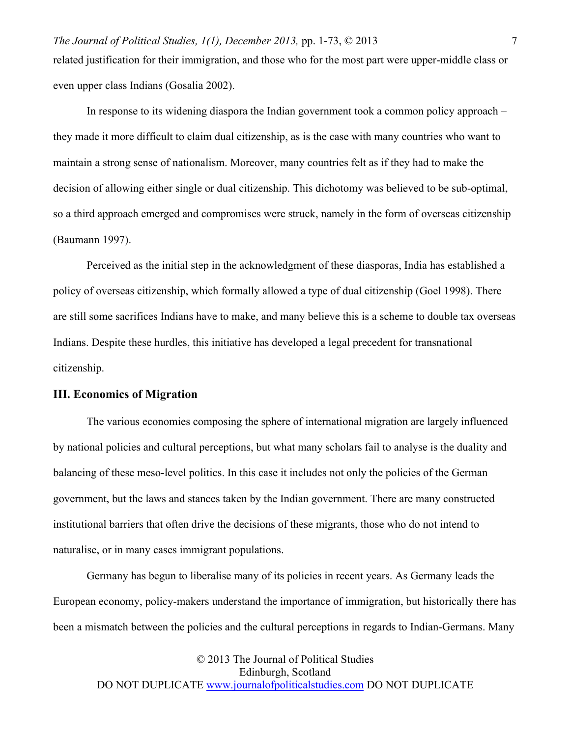*The Journal of Political Studies, 1(1), December 2013,* pp. 1-73, © 2013 related justification for their immigration, and those who for the most part were upper-middle class or even upper class Indians (Gosalia 2002).

In response to its widening diaspora the Indian government took a common policy approach – they made it more difficult to claim dual citizenship, as is the case with many countries who want to maintain a strong sense of nationalism. Moreover, many countries felt as if they had to make the decision of allowing either single or dual citizenship. This dichotomy was believed to be sub-optimal, so a third approach emerged and compromises were struck, namely in the form of overseas citizenship (Baumann 1997).

Perceived as the initial step in the acknowledgment of these diasporas, India has established a policy of overseas citizenship, which formally allowed a type of dual citizenship (Goel 1998). There are still some sacrifices Indians have to make, and many believe this is a scheme to double tax overseas Indians. Despite these hurdles, this initiative has developed a legal precedent for transnational citizenship.

## **III. Economics of Migration**

The various economies composing the sphere of international migration are largely influenced by national policies and cultural perceptions, but what many scholars fail to analyse is the duality and balancing of these meso-level politics. In this case it includes not only the policies of the German government, but the laws and stances taken by the Indian government. There are many constructed institutional barriers that often drive the decisions of these migrants, those who do not intend to naturalise, or in many cases immigrant populations.

Germany has begun to liberalise many of its policies in recent years. As Germany leads the European economy, policy-makers understand the importance of immigration, but historically there has been a mismatch between the policies and the cultural perceptions in regards to Indian-Germans. Many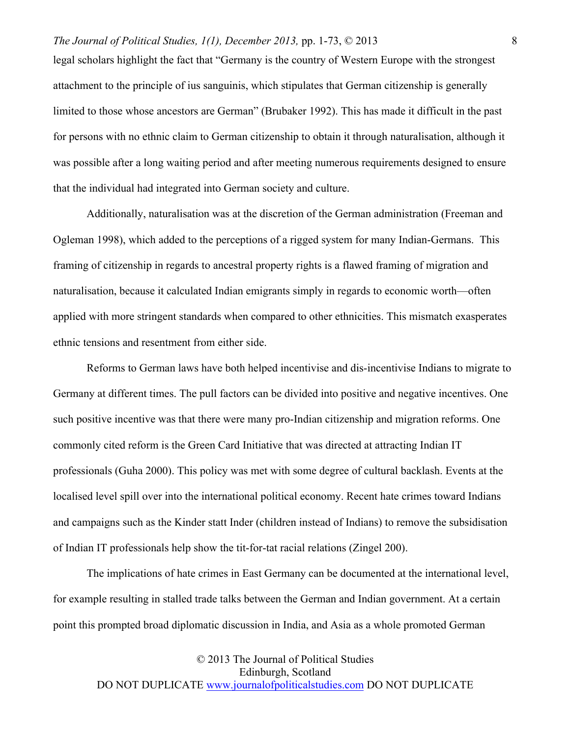legal scholars highlight the fact that "Germany is the country of Western Europe with the strongest attachment to the principle of ius sanguinis, which stipulates that German citizenship is generally limited to those whose ancestors are German" (Brubaker 1992). This has made it difficult in the past for persons with no ethnic claim to German citizenship to obtain it through naturalisation, although it was possible after a long waiting period and after meeting numerous requirements designed to ensure that the individual had integrated into German society and culture.

Additionally, naturalisation was at the discretion of the German administration (Freeman and Ogleman 1998), which added to the perceptions of a rigged system for many Indian-Germans. This framing of citizenship in regards to ancestral property rights is a flawed framing of migration and naturalisation, because it calculated Indian emigrants simply in regards to economic worth—often applied with more stringent standards when compared to other ethnicities. This mismatch exasperates ethnic tensions and resentment from either side.

Reforms to German laws have both helped incentivise and dis-incentivise Indians to migrate to Germany at different times. The pull factors can be divided into positive and negative incentives. One such positive incentive was that there were many pro-Indian citizenship and migration reforms. One commonly cited reform is the Green Card Initiative that was directed at attracting Indian IT professionals (Guha 2000). This policy was met with some degree of cultural backlash. Events at the localised level spill over into the international political economy. Recent hate crimes toward Indians and campaigns such as the Kinder statt Inder (children instead of Indians) to remove the subsidisation of Indian IT professionals help show the tit-for-tat racial relations (Zingel 200).

The implications of hate crimes in East Germany can be documented at the international level, for example resulting in stalled trade talks between the German and Indian government. At a certain point this prompted broad diplomatic discussion in India, and Asia as a whole promoted German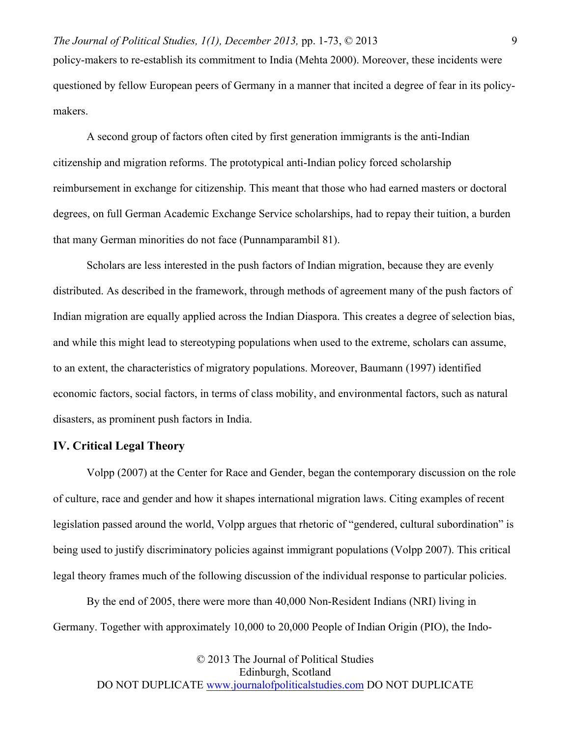policy-makers to re-establish its commitment to India (Mehta 2000). Moreover, these incidents were questioned by fellow European peers of Germany in a manner that incited a degree of fear in its policymakers.

A second group of factors often cited by first generation immigrants is the anti-Indian citizenship and migration reforms. The prototypical anti-Indian policy forced scholarship reimbursement in exchange for citizenship. This meant that those who had earned masters or doctoral degrees, on full German Academic Exchange Service scholarships, had to repay their tuition, a burden that many German minorities do not face (Punnamparambil 81).

Scholars are less interested in the push factors of Indian migration, because they are evenly distributed. As described in the framework, through methods of agreement many of the push factors of Indian migration are equally applied across the Indian Diaspora. This creates a degree of selection bias, and while this might lead to stereotyping populations when used to the extreme, scholars can assume, to an extent, the characteristics of migratory populations. Moreover, Baumann (1997) identified economic factors, social factors, in terms of class mobility, and environmental factors, such as natural disasters, as prominent push factors in India.

## **IV. Critical Legal Theory**

Volpp (2007) at the Center for Race and Gender, began the contemporary discussion on the role of culture, race and gender and how it shapes international migration laws. Citing examples of recent legislation passed around the world, Volpp argues that rhetoric of "gendered, cultural subordination" is being used to justify discriminatory policies against immigrant populations (Volpp 2007). This critical legal theory frames much of the following discussion of the individual response to particular policies.

By the end of 2005, there were more than 40,000 Non-Resident Indians (NRI) living in Germany. Together with approximately 10,000 to 20,000 People of Indian Origin (PIO), the Indo-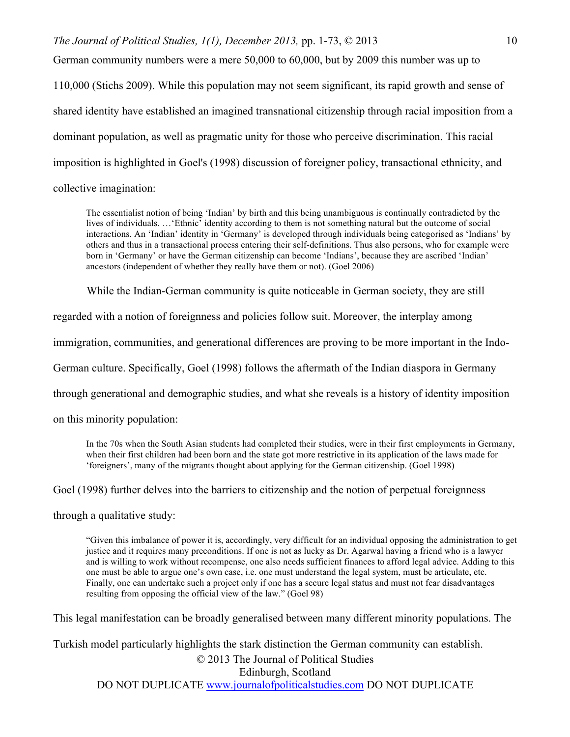German community numbers were a mere 50,000 to 60,000, but by 2009 this number was up to

110,000 (Stichs 2009). While this population may not seem significant, its rapid growth and sense of shared identity have established an imagined transnational citizenship through racial imposition from a dominant population, as well as pragmatic unity for those who perceive discrimination. This racial imposition is highlighted in Goel's (1998) discussion of foreigner policy, transactional ethnicity, and collective imagination:

The essentialist notion of being 'Indian' by birth and this being unambiguous is continually contradicted by the lives of individuals. …'Ethnic' identity according to them is not something natural but the outcome of social interactions. An 'Indian' identity in 'Germany' is developed through individuals being categorised as 'Indians' by others and thus in a transactional process entering their self-definitions. Thus also persons, who for example were born in 'Germany' or have the German citizenship can become 'Indians', because they are ascribed 'Indian' ancestors (independent of whether they really have them or not). (Goel 2006)

While the Indian-German community is quite noticeable in German society, they are still

regarded with a notion of foreignness and policies follow suit. Moreover, the interplay among

immigration, communities, and generational differences are proving to be more important in the Indo-

German culture. Specifically, Goel (1998) follows the aftermath of the Indian diaspora in Germany

through generational and demographic studies, and what she reveals is a history of identity imposition

on this minority population:

In the 70s when the South Asian students had completed their studies, were in their first employments in Germany, when their first children had been born and the state got more restrictive in its application of the laws made for 'foreigners', many of the migrants thought about applying for the German citizenship. (Goel 1998)

Goel (1998) further delves into the barriers to citizenship and the notion of perpetual foreignness

through a qualitative study:

"Given this imbalance of power it is, accordingly, very difficult for an individual opposing the administration to get justice and it requires many preconditions. If one is not as lucky as Dr. Agarwal having a friend who is a lawyer and is willing to work without recompense, one also needs sufficient finances to afford legal advice. Adding to this one must be able to argue one's own case, i.e. one must understand the legal system, must be articulate, etc. Finally, one can undertake such a project only if one has a secure legal status and must not fear disadvantages resulting from opposing the official view of the law." (Goel 98)

This legal manifestation can be broadly generalised between many different minority populations. The

Turkish model particularly highlights the stark distinction the German community can establish.

© 2013 The Journal of Political Studies

Edinburgh, Scotland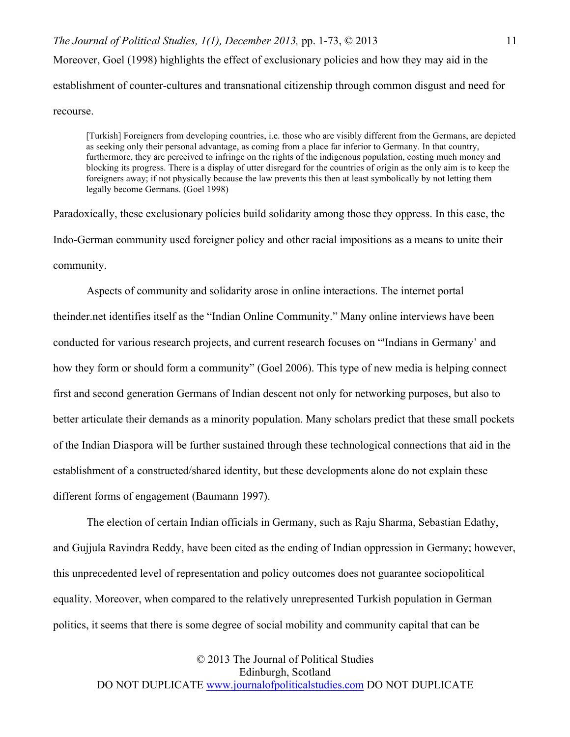*The Journal of Political Studies, 1(1), December 2013,* pp. 1-73, © 2013 Moreover, Goel (1998) highlights the effect of exclusionary policies and how they may aid in the establishment of counter-cultures and transnational citizenship through common disgust and need for recourse.

[Turkish] Foreigners from developing countries, i.e. those who are visibly different from the Germans, are depicted as seeking only their personal advantage, as coming from a place far inferior to Germany. In that country, furthermore, they are perceived to infringe on the rights of the indigenous population, costing much money and blocking its progress. There is a display of utter disregard for the countries of origin as the only aim is to keep the foreigners away; if not physically because the law prevents this then at least symbolically by not letting them legally become Germans. (Goel 1998)

Paradoxically, these exclusionary policies build solidarity among those they oppress. In this case, the Indo-German community used foreigner policy and other racial impositions as a means to unite their community.

Aspects of community and solidarity arose in online interactions. The internet portal theinder.net identifies itself as the "Indian Online Community." Many online interviews have been conducted for various research projects, and current research focuses on "'Indians in Germany' and how they form or should form a community" (Goel 2006). This type of new media is helping connect first and second generation Germans of Indian descent not only for networking purposes, but also to better articulate their demands as a minority population. Many scholars predict that these small pockets of the Indian Diaspora will be further sustained through these technological connections that aid in the establishment of a constructed/shared identity, but these developments alone do not explain these different forms of engagement (Baumann 1997).

The election of certain Indian officials in Germany, such as Raju Sharma, Sebastian Edathy, and Gujjula Ravindra Reddy, have been cited as the ending of Indian oppression in Germany; however, this unprecedented level of representation and policy outcomes does not guarantee sociopolitical equality. Moreover, when compared to the relatively unrepresented Turkish population in German politics, it seems that there is some degree of social mobility and community capital that can be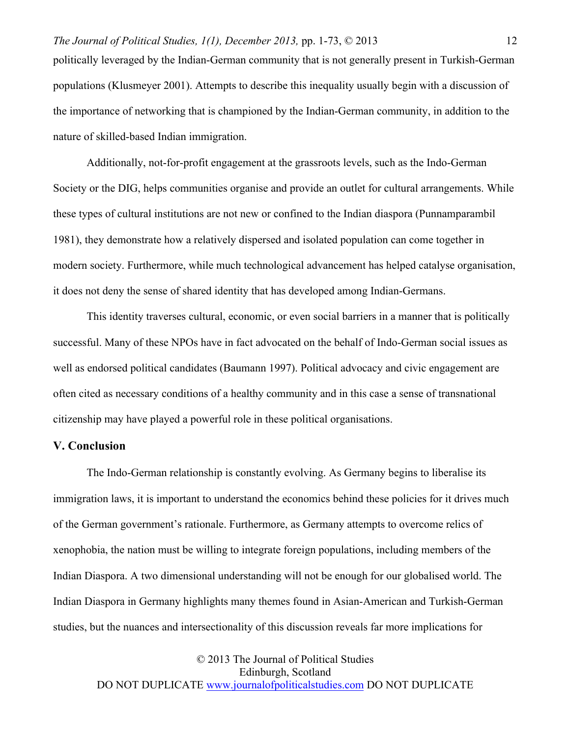politically leveraged by the Indian-German community that is not generally present in Turkish-German populations (Klusmeyer 2001). Attempts to describe this inequality usually begin with a discussion of the importance of networking that is championed by the Indian-German community, in addition to the nature of skilled-based Indian immigration.

Additionally, not-for-profit engagement at the grassroots levels, such as the Indo-German Society or the DIG, helps communities organise and provide an outlet for cultural arrangements. While these types of cultural institutions are not new or confined to the Indian diaspora (Punnamparambil 1981), they demonstrate how a relatively dispersed and isolated population can come together in modern society. Furthermore, while much technological advancement has helped catalyse organisation, it does not deny the sense of shared identity that has developed among Indian-Germans.

This identity traverses cultural, economic, or even social barriers in a manner that is politically successful. Many of these NPOs have in fact advocated on the behalf of Indo-German social issues as well as endorsed political candidates (Baumann 1997). Political advocacy and civic engagement are often cited as necessary conditions of a healthy community and in this case a sense of transnational citizenship may have played a powerful role in these political organisations.

## **V. Conclusion**

The Indo-German relationship is constantly evolving. As Germany begins to liberalise its immigration laws, it is important to understand the economics behind these policies for it drives much of the German government's rationale. Furthermore, as Germany attempts to overcome relics of xenophobia, the nation must be willing to integrate foreign populations, including members of the Indian Diaspora. A two dimensional understanding will not be enough for our globalised world. The Indian Diaspora in Germany highlights many themes found in Asian-American and Turkish-German studies, but the nuances and intersectionality of this discussion reveals far more implications for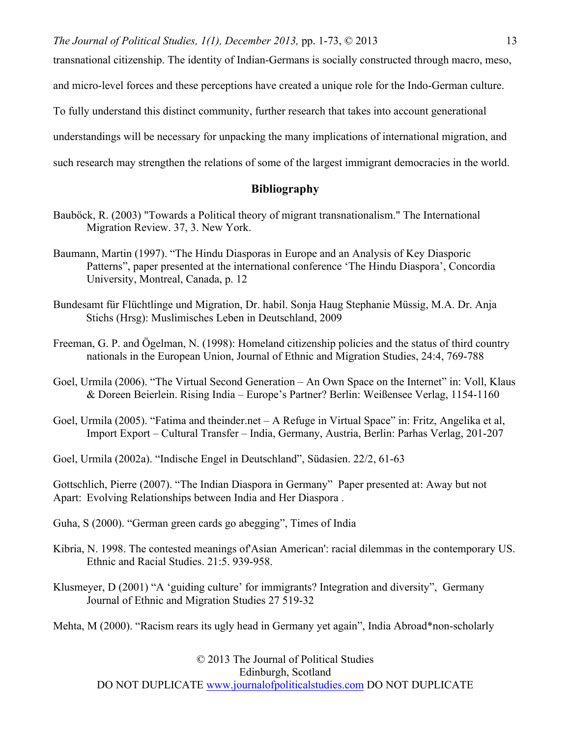transnational citizenship. The identity of Indian-Germans is socially constructed through macro, meso,

and micro-level forces and these perceptions have created a unique role for the Indo-German culture.

To fully understand this distinct community, further research that takes into account generational

understandings will be necessary for unpacking the many implications of international migration, and

such research may strengthen the relations of some of the largest immigrant democracies in the world.

## **Bibliography**

- Bauböck, R. (2003) "Towards a Political theory of migrant transnationalism." The International Migration Review. 37, 3. New York.
- Baumann, Martin (1997). "The Hindu Diasporas in Europe and an Analysis of Key Diasporic Patterns", paper presented at the international conference 'The Hindu Diaspora', Concordia University, Montreal, Canada, p. 12
- Bundesamt für Flüchtlinge und Migration, Dr. habil. Sonja Haug Stephanie Müssig, M.A. Dr. Anja Stichs (Hrsg): Muslimisches Leben in Deutschland, 2009
- Freeman, G. P. and Ögelman, N. (1998): Homeland citizenship policies and the status of third country nationals in the European Union, Journal of Ethnic and Migration Studies, 24:4, 769-788
- Goel, Urmila (2006). "The Virtual Second Generation An Own Space on the Internet" in: Voll, Klaus & Doreen Beierlein. Rising India – Europe's Partner? Berlin: Weißensee Verlag, 1154-1160
- Goel, Urmila (2005). "Fatima and theinder.net A Refuge in Virtual Space" in: Fritz, Angelika et al, Import Export – Cultural Transfer – India, Germany, Austria, Berlin: Parhas Verlag, 201-207

Goel, Urmila (2002a). "Indische Engel in Deutschland", Südasien. 22/2, 61-63

Gottschlich, Pierre (2007). "The Indian Diaspora in Germany" Paper presented at: Away but not Apart: Evolving Relationships between India and Her Diaspora .

Guha, S (2000). "German green cards go abegging", Times of India

- Kibria, N. 1998. The contested meanings of'Asian American': racial dilemmas in the contemporary US. Ethnic and Racial Studies. 21:5. 939-958.
- Klusmeyer, D (2001) "A 'guiding culture' for immigrants? Integration and diversity", Germany Journal of Ethnic and Migration Studies 27 519-32

Mehta, M (2000). "Racism rears its ugly head in Germany yet again", India Abroad\*non-scholarly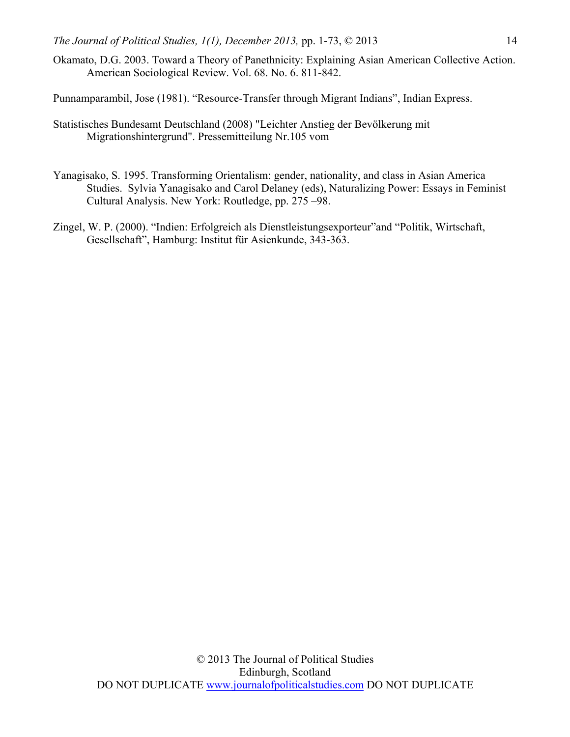Okamato, D.G. 2003. Toward a Theory of Panethnicity: Explaining Asian American Collective Action. American Sociological Review. Vol. 68. No. 6. 811-842.

Punnamparambil, Jose (1981). "Resource-Transfer through Migrant Indians", Indian Express.

- Statistisches Bundesamt Deutschland (2008) "Leichter Anstieg der Bevölkerung mit Migrationshintergrund". Pressemitteilung Nr.105 vom
- Yanagisako, S. 1995. Transforming Orientalism: gender, nationality, and class in Asian America Studies. Sylvia Yanagisako and Carol Delaney (eds), Naturalizing Power: Essays in Feminist Cultural Analysis. New York: Routledge, pp. 275 –98.
- Zingel, W. P. (2000). "Indien: Erfolgreich als Dienstleistungsexporteur"and "Politik, Wirtschaft, Gesellschaft", Hamburg: Institut für Asienkunde, 343-363.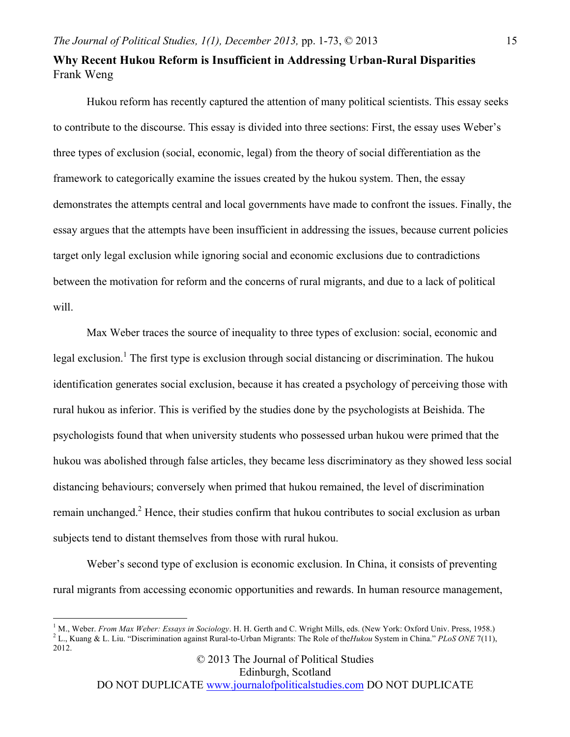## **Why Recent Hukou Reform is Insufficient in Addressing Urban-Rural Disparities**  Frank Weng

Hukou reform has recently captured the attention of many political scientists. This essay seeks to contribute to the discourse. This essay is divided into three sections: First, the essay uses Weber's three types of exclusion (social, economic, legal) from the theory of social differentiation as the framework to categorically examine the issues created by the hukou system. Then, the essay demonstrates the attempts central and local governments have made to confront the issues. Finally, the essay argues that the attempts have been insufficient in addressing the issues, because current policies target only legal exclusion while ignoring social and economic exclusions due to contradictions between the motivation for reform and the concerns of rural migrants, and due to a lack of political will.

Max Weber traces the source of inequality to three types of exclusion: social, economic and legal exclusion.<sup>1</sup> The first type is exclusion through social distancing or discrimination. The hukou identification generates social exclusion, because it has created a psychology of perceiving those with rural hukou as inferior. This is verified by the studies done by the psychologists at Beishida. The psychologists found that when university students who possessed urban hukou were primed that the hukou was abolished through false articles, they became less discriminatory as they showed less social distancing behaviours; conversely when primed that hukou remained, the level of discrimination remain unchanged.<sup>2</sup> Hence, their studies confirm that hukou contributes to social exclusion as urban subjects tend to distant themselves from those with rural hukou.

Weber's second type of exclusion is economic exclusion. In China, it consists of preventing rural migrants from accessing economic opportunities and rewards. In human resource management,

<sup>&</sup>lt;sup>1</sup> M., Weber. *From Max Weber: Essays in Sociology*. H. H. Gerth and C. Wright Mills, eds. (New York: Oxford Univ. Press, 1958.)<br><sup>2</sup> L., Kuang & L. Liu. "Discrimination against Rural-to-Urban Migrants: The Role of the*Hu* 2012.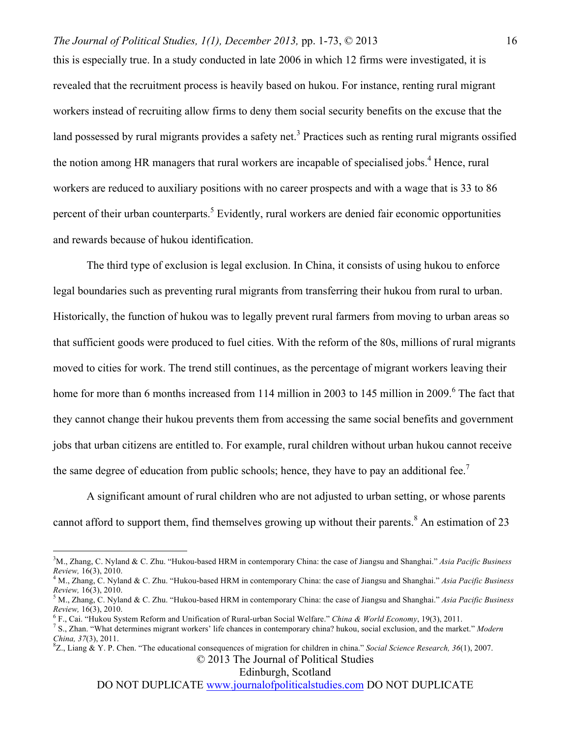this is especially true. In a study conducted in late 2006 in which 12 firms were investigated, it is revealed that the recruitment process is heavily based on hukou. For instance, renting rural migrant workers instead of recruiting allow firms to deny them social security benefits on the excuse that the land possessed by rural migrants provides a safety net.<sup>3</sup> Practices such as renting rural migrants ossified the notion among HR managers that rural workers are incapable of specialised jobs.<sup>4</sup> Hence, rural workers are reduced to auxiliary positions with no career prospects and with a wage that is 33 to 86 percent of their urban counterparts.<sup>5</sup> Evidently, rural workers are denied fair economic opportunities and rewards because of hukou identification.

The third type of exclusion is legal exclusion. In China, it consists of using hukou to enforce legal boundaries such as preventing rural migrants from transferring their hukou from rural to urban. Historically, the function of hukou was to legally prevent rural farmers from moving to urban areas so that sufficient goods were produced to fuel cities. With the reform of the 80s, millions of rural migrants moved to cities for work. The trend still continues, as the percentage of migrant workers leaving their home for more than 6 months increased from 114 million in 2003 to 145 million in 2009.<sup>6</sup> The fact that they cannot change their hukou prevents them from accessing the same social benefits and government jobs that urban citizens are entitled to. For example, rural children without urban hukou cannot receive the same degree of education from public schools; hence, they have to pay an additional fee.<sup>7</sup>

A significant amount of rural children who are not adjusted to urban setting, or whose parents cannot afford to support them, find themselves growing up without their parents.<sup>8</sup> An estimation of 23

## © 2013 The Journal of Political Studies

Edinburgh, Scotland

<sup>&</sup>lt;sup>2</sup><br>3 <sup>3</sup>M., Zhang, C. Nyland & C. Zhu. "Hukou-based HRM in contemporary China: the case of Jiangsu and Shanghai." *Asia Pacific Business* 

*Review,* 16(3), 2010.<br><sup>4</sup> M., Zhang, C. Nyland & C. Zhu. "Hukou-based HRM in contemporary China: the case of Jiangsu and Shanghai." *Asia Pacific Business Review*, 16(3), 2010.

*Review,* 16(3), 2010. <sup>5</sup> M., Zhang, C. Nyland & C. Zhu. "Hukou-based HRM in contemporary China: the case of Jiangsu and Shanghai." *Asia Pacific Business*  Review, 16(3), 2010.<br><sup>6</sup> F., Cai. "Hukou System Reform and Unification of Rural-urban Social Welfare." *China & World Economy*, 19(3), 2011.<br><sup>7</sup> S., Zhan. "What determines migrant workers' life chances in contemporary chin

*China, 37(3), 2011.* 

Z., Liang & Y. P. Chen. "The educational consequences of migration for children in china." *Social Science Research, 36*(1), 2007.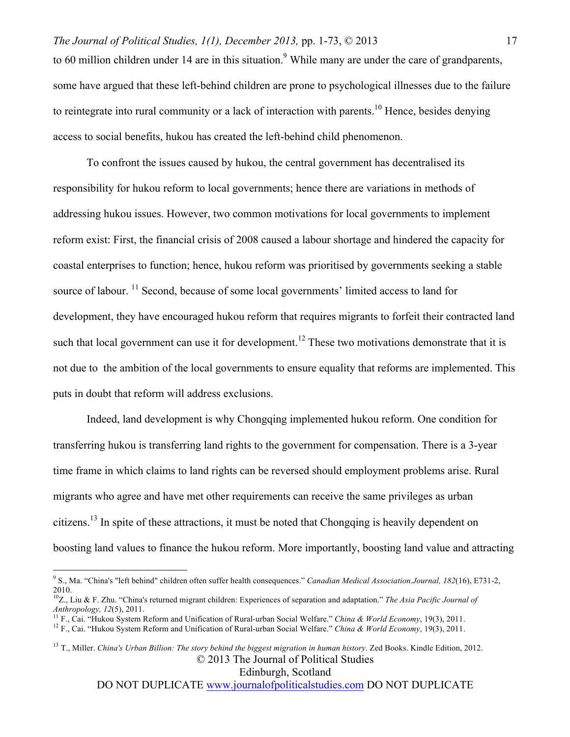to 60 million children under 14 are in this situation.<sup>9</sup> While many are under the care of grandparents, some have argued that these left-behind children are prone to psychological illnesses due to the failure to reintegrate into rural community or a lack of interaction with parents.<sup>10</sup> Hence, besides denying access to social benefits, hukou has created the left-behind child phenomenon.

To confront the issues caused by hukou, the central government has decentralised its responsibility for hukou reform to local governments; hence there are variations in methods of addressing hukou issues. However, two common motivations for local governments to implement reform exist: First, the financial crisis of 2008 caused a labour shortage and hindered the capacity for coastal enterprises to function; hence, hukou reform was prioritised by governments seeking a stable source of labour. <sup>11</sup> Second, because of some local governments' limited access to land for development, they have encouraged hukou reform that requires migrants to forfeit their contracted land such that local government can use it for development.<sup>12</sup> These two motivations demonstrate that it is not due to the ambition of the local governments to ensure equality that reforms are implemented. This puts in doubt that reform will address exclusions.

Indeed, land development is why Chongqing implemented hukou reform. One condition for transferring hukou is transferring land rights to the government for compensation. There is a 3-year time frame in which claims to land rights can be reversed should employment problems arise. Rural migrants who agree and have met other requirements can receive the same privileges as urban citizens.13 In spite of these attractions, it must be noted that Chongqing is heavily dependent on boosting land values to finance the hukou reform. More importantly, boosting land value and attracting

© 2013 The Journal of Political Studies <sup>13</sup> T., Miller. *China's Urban Billion: The story behind the biggest migration in human history*. Zed Books. Kindle Edition, 2012.

Edinburgh, Scotland

 <sup>9</sup> S., Ma. "China's "left behind" children often suffer health consequences." *Canadian Medical Association.Journal, <sup>182</sup>*(16), E731-2, 2010.

<sup>10</sup>Z., Liu & F. Zhu. "China's returned migrant children: Experiences of separation and adaptation." *The Asia Pacific Journal of Anthropology, 12(5), 2011.*<br><sup>11</sup> F., Cai. "Hukou System Reform and Unification of Rural-urban Social Welfare." *China & World Economy*, 19(3), 2011.<br><sup>12</sup> F., Cai. "Hukou System Reform and Unification of Rural-urban Social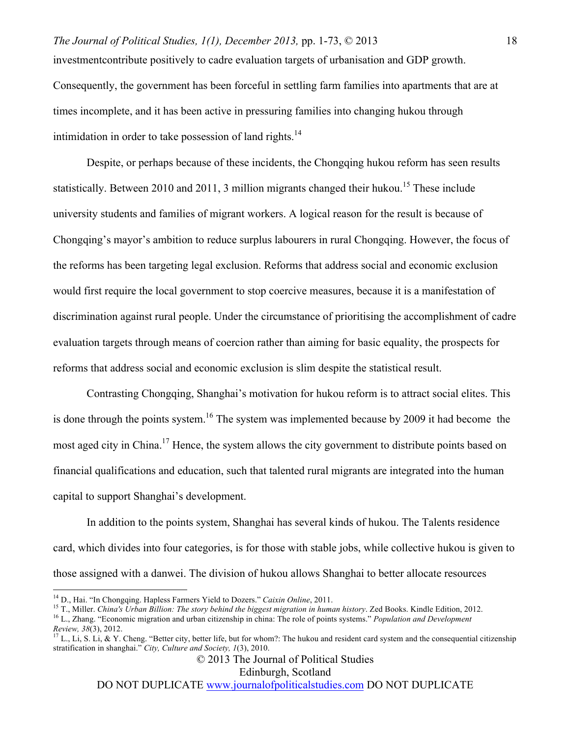# *The Journal of Political Studies, 1(1), December 2013,* pp. 1-73, © 2013 investmentcontribute positively to cadre evaluation targets of urbanisation and GDP growth. Consequently, the government has been forceful in settling farm families into apartments that are at times incomplete, and it has been active in pressuring families into changing hukou through intimidation in order to take possession of land rights.<sup>14</sup>

Despite, or perhaps because of these incidents, the Chongqing hukou reform has seen results statistically. Between 2010 and 2011, 3 million migrants changed their hukou.<sup>15</sup> These include university students and families of migrant workers. A logical reason for the result is because of Chongqing's mayor's ambition to reduce surplus labourers in rural Chongqing. However, the focus of the reforms has been targeting legal exclusion. Reforms that address social and economic exclusion would first require the local government to stop coercive measures, because it is a manifestation of discrimination against rural people. Under the circumstance of prioritising the accomplishment of cadre evaluation targets through means of coercion rather than aiming for basic equality, the prospects for reforms that address social and economic exclusion is slim despite the statistical result.

Contrasting Chongqing, Shanghai's motivation for hukou reform is to attract social elites. This is done through the points system.<sup>16</sup> The system was implemented because by 2009 it had become the most aged city in China.<sup>17</sup> Hence, the system allows the city government to distribute points based on financial qualifications and education, such that talented rural migrants are integrated into the human capital to support Shanghai's development.

In addition to the points system, Shanghai has several kinds of hukou. The Talents residence card, which divides into four categories, is for those with stable jobs, while collective hukou is given to those assigned with a danwei. The division of hukou allows Shanghai to better allocate resources

Edinburgh, Scotland

<sup>&</sup>lt;sup>14</sup> D., Hai. "In Chongqing. Hapless Farmers Yield to Dozers." *Caixin Online*, 2011.<br><sup>15</sup> T., Miller. *China's Urban Billion: The story behind the biggest migration in human history*. Zed Books. Kindle Edition, 2012.<br><sup>16</sup>

*Review, <sup>38</sup>*(3), 2012. <sup>17</sup> L., Li, S. Li, & Y. Cheng. "Better city, better life, but for whom?: The hukou and resident card system and the consequential citizenship stratification in shanghai." *City, Culture and Society, 1*(3), 2010.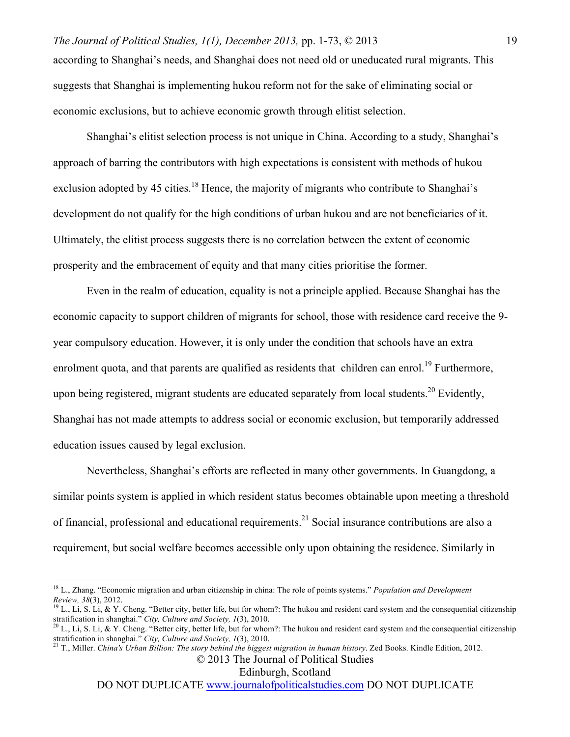according to Shanghai's needs, and Shanghai does not need old or uneducated rural migrants. This suggests that Shanghai is implementing hukou reform not for the sake of eliminating social or economic exclusions, but to achieve economic growth through elitist selection.

Shanghai's elitist selection process is not unique in China. According to a study, Shanghai's approach of barring the contributors with high expectations is consistent with methods of hukou exclusion adopted by 45 cities.<sup>18</sup> Hence, the majority of migrants who contribute to Shanghai's development do not qualify for the high conditions of urban hukou and are not beneficiaries of it. Ultimately, the elitist process suggests there is no correlation between the extent of economic prosperity and the embracement of equity and that many cities prioritise the former.

Even in the realm of education, equality is not a principle applied. Because Shanghai has the economic capacity to support children of migrants for school, those with residence card receive the 9 year compulsory education. However, it is only under the condition that schools have an extra enrolment quota, and that parents are qualified as residents that children can enrol.<sup>19</sup> Furthermore, upon being registered, migrant students are educated separately from local students.<sup>20</sup> Evidently, Shanghai has not made attempts to address social or economic exclusion, but temporarily addressed education issues caused by legal exclusion.

Nevertheless, Shanghai's efforts are reflected in many other governments. In Guangdong, a similar points system is applied in which resident status becomes obtainable upon meeting a threshold of financial, professional and educational requirements.<sup>21</sup> Social insurance contributions are also a requirement, but social welfare becomes accessible only upon obtaining the residence. Similarly in

Edinburgh, Scotland

<sup>&</sup>lt;sup>18</sup> L., Zhang. "Economic migration and urban citizenship in china: The role of points systems." *Population and Development Review*, 38(3), 2012.

<sup>&</sup>lt;sup>19</sup> L., Li, S. Li, & Y. Cheng. "Better city, better life, but for whom?: The hukou and resident card system and the consequential citizenship stratification in shanghai." *City, Culture and Society, 1*(3), 2010.

<sup>&</sup>lt;sup>20</sup> L., Li, S. Li, & Y. Cheng. "Better city, better life, but for whom?: The hukou and resident card system and the consequential citizenship stratification in shanghai." *City, Culture and Society, <sup>1</sup>*(3), 2010. <sup>21</sup> T., Miller. *China's Urban Billion: The story behind the biggest migration in human history*. Zed Books. Kindle Edition, 2012.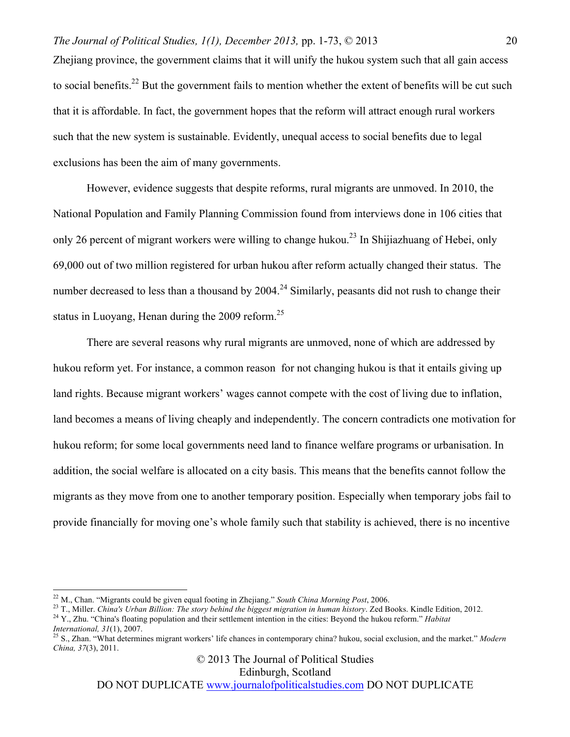Zhejiang province, the government claims that it will unify the hukou system such that all gain access to social benefits.<sup>22</sup> But the government fails to mention whether the extent of benefits will be cut such that it is affordable. In fact, the government hopes that the reform will attract enough rural workers such that the new system is sustainable. Evidently, unequal access to social benefits due to legal exclusions has been the aim of many governments.

However, evidence suggests that despite reforms, rural migrants are unmoved. In 2010, the National Population and Family Planning Commission found from interviews done in 106 cities that only 26 percent of migrant workers were willing to change hukou.<sup>23</sup> In Shijiazhuang of Hebei, only 69,000 out of two million registered for urban hukou after reform actually changed their status. The number decreased to less than a thousand by  $2004.<sup>24</sup>$  Similarly, peasants did not rush to change their status in Luoyang, Henan during the  $2009$  reform.<sup>25</sup>

There are several reasons why rural migrants are unmoved, none of which are addressed by hukou reform yet. For instance, a common reason for not changing hukou is that it entails giving up land rights. Because migrant workers' wages cannot compete with the cost of living due to inflation, land becomes a means of living cheaply and independently. The concern contradicts one motivation for hukou reform; for some local governments need land to finance welfare programs or urbanisation. In addition, the social welfare is allocated on a city basis. This means that the benefits cannot follow the migrants as they move from one to another temporary position. Especially when temporary jobs fail to provide financially for moving one's whole family such that stability is achieved, there is no incentive

<sup>22</sup> M., Chan. "Migrants could be given equal footing in Zhejiang." South China Morning Post, 2006.<br><sup>23</sup> T., Miller. China's Urban Billion: The story behind the biggest migration in human history. Zed Books. Kindle Editio

© 2013 The Journal of Political Studies

Edinburgh, Scotland

*International, <sup>31</sup>*(1), 2007. <sup>25</sup> S., Zhan. "What determines migrant workers' life chances in contemporary china? hukou, social exclusion, and the market." *Modern China, 37*(3), 2011.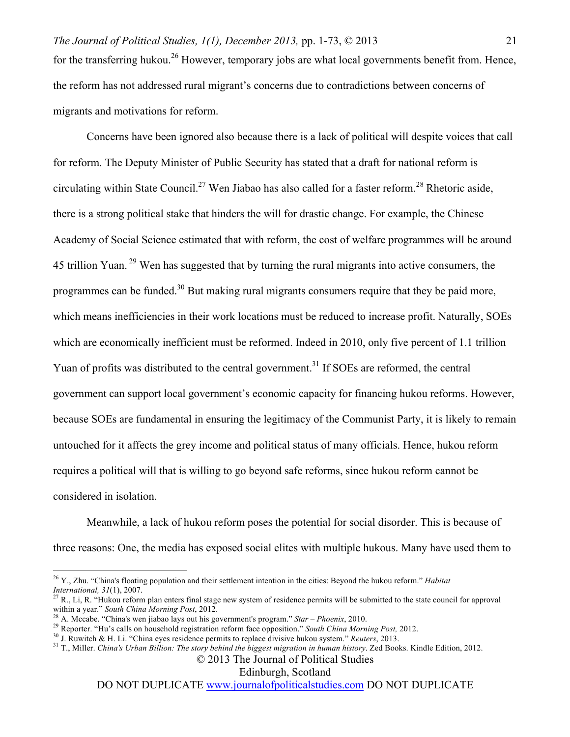Concerns have been ignored also because there is a lack of political will despite voices that call for reform. The Deputy Minister of Public Security has stated that a draft for national reform is circulating within State Council.<sup>27</sup> Wen Jiabao has also called for a faster reform.<sup>28</sup> Rhetoric aside, there is a strong political stake that hinders the will for drastic change. For example, the Chinese Academy of Social Science estimated that with reform, the cost of welfare programmes will be around 45 trillion Yuan.<sup>29</sup> Wen has suggested that by turning the rural migrants into active consumers, the programmes can be funded.<sup>30</sup> But making rural migrants consumers require that they be paid more, which means inefficiencies in their work locations must be reduced to increase profit. Naturally, SOEs which are economically inefficient must be reformed. Indeed in 2010, only five percent of 1.1 trillion Yuan of profits was distributed to the central government.<sup>31</sup> If SOEs are reformed, the central government can support local government's economic capacity for financing hukou reforms. However, because SOEs are fundamental in ensuring the legitimacy of the Communist Party, it is likely to remain untouched for it affects the grey income and political status of many officials. Hence, hukou reform requires a political will that is willing to go beyond safe reforms, since hukou reform cannot be considered in isolation.

Meanwhile, a lack of hukou reform poses the potential for social disorder. This is because of three reasons: One, the media has exposed social elites with multiple hukous. Many have used them to

Edinburgh, Scotland

 <sup>26</sup> Y., Zhu. "China's floating population and their settlement intention in the cities: Beyond the hukou reform." *Habitat* 

<sup>&</sup>lt;sup>27</sup> R., Li, R. "Hukou reform plan enters final stage new system of residence permits will be submitted to the state council for approval within a year." South China Morning Post, 2012.

<sup>&</sup>lt;sup>28</sup> A. Mccabe. "China's wen jiabao lays out his government's program." *Star – Phoenix*, 2010.<br><sup>29</sup> Reporter. "Hu's calls on household registration reform face opposition." *South China Morning Post*, 2012.<br><sup>30</sup> J. Ruwit

<sup>© 2013</sup> The Journal of Political Studies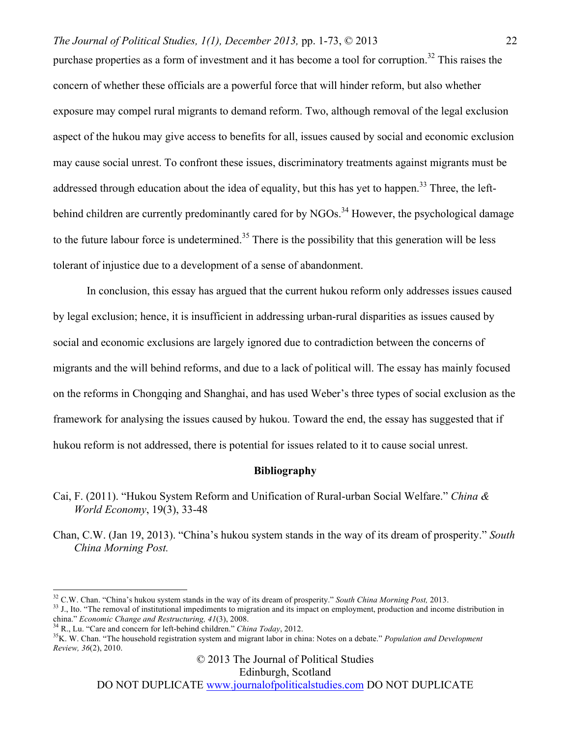purchase properties as a form of investment and it has become a tool for corruption.<sup>32</sup> This raises the concern of whether these officials are a powerful force that will hinder reform, but also whether exposure may compel rural migrants to demand reform. Two, although removal of the legal exclusion aspect of the hukou may give access to benefits for all, issues caused by social and economic exclusion may cause social unrest. To confront these issues, discriminatory treatments against migrants must be addressed through education about the idea of equality, but this has yet to happen.<sup>33</sup> Three, the leftbehind children are currently predominantly cared for by NGOs.<sup>34</sup> However, the psychological damage to the future labour force is undetermined.<sup>35</sup> There is the possibility that this generation will be less tolerant of injustice due to a development of a sense of abandonment.

In conclusion, this essay has argued that the current hukou reform only addresses issues caused by legal exclusion; hence, it is insufficient in addressing urban-rural disparities as issues caused by social and economic exclusions are largely ignored due to contradiction between the concerns of migrants and the will behind reforms, and due to a lack of political will. The essay has mainly focused on the reforms in Chongqing and Shanghai, and has used Weber's three types of social exclusion as the framework for analysing the issues caused by hukou. Toward the end, the essay has suggested that if hukou reform is not addressed, there is potential for issues related to it to cause social unrest.

## **Bibliography**

- Cai, F. (2011). "Hukou System Reform and Unification of Rural-urban Social Welfare." *China & World Economy*, 19(3), 33-48
- Chan, C.W. (Jan 19, 2013). "China's hukou system stands in the way of its dream of prosperity." *South China Morning Post.*

© 2013 The Journal of Political Studies

Edinburgh, Scotland

<sup>&</sup>lt;sup>32</sup> C.W. Chan. "China's hukou system stands in the way of its dream of prosperity." South China Morning Post, 2013.<br><sup>33</sup> J., Ito. "The removal of institutional impediments to migration and its impact on employment, produ

<sup>&</sup>lt;sup>34</sup> R., Lu. "Care and concern for left-behind children." *China Today*, 2012.<br><sup>35</sup> K. W. Chan. "The household registration system and migrant labor in china: Notes on a debate." *Population and Development Review, 36*(2), 2010.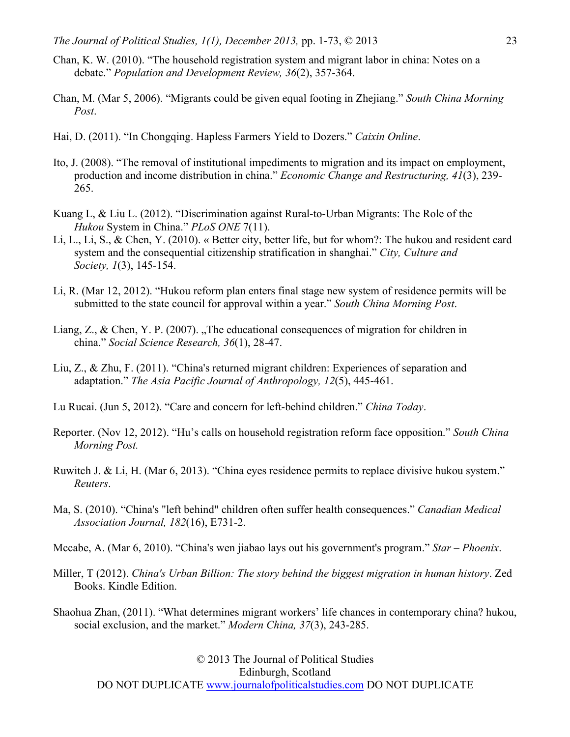- Chan, K. W. (2010). "The household registration system and migrant labor in china: Notes on a debate." *Population and Development Review, 36*(2), 357-364.
- Chan, M. (Mar 5, 2006). "Migrants could be given equal footing in Zhejiang." *South China Morning Post*.
- Hai, D. (2011). "In Chongqing. Hapless Farmers Yield to Dozers." *Caixin Online*.
- Ito, J. (2008). "The removal of institutional impediments to migration and its impact on employment, production and income distribution in china." *Economic Change and Restructuring, 41*(3), 239- 265.
- Kuang L, & Liu L. (2012). "Discrimination against Rural-to-Urban Migrants: The Role of the *Hukou* System in China." *PLoS ONE* 7(11).
- Li, L., Li, S., & Chen, Y. (2010). « Better city, better life, but for whom?: The hukou and resident card system and the consequential citizenship stratification in shanghai." *City, Culture and Society, 1*(3), 145-154.
- Li, R. (Mar 12, 2012). "Hukou reform plan enters final stage new system of residence permits will be submitted to the state council for approval within a year." *South China Morning Post*.
- Liang, Z., & Chen, Y. P. (2007). "The educational consequences of migration for children in china." *Social Science Research, 36*(1), 28-47.
- Liu, Z., & Zhu, F. (2011). "China's returned migrant children: Experiences of separation and adaptation." *The Asia Pacific Journal of Anthropology, 12*(5), 445-461.
- Lu Rucai. (Jun 5, 2012). "Care and concern for left-behind children." *China Today*.
- Reporter. (Nov 12, 2012). "Hu's calls on household registration reform face opposition." *South China Morning Post.*
- Ruwitch J. & Li, H. (Mar 6, 2013). "China eyes residence permits to replace divisive hukou system." *Reuters*.
- Ma, S. (2010). "China's "left behind" children often suffer health consequences." *Canadian Medical Association Journal, 182*(16), E731-2.
- Mccabe, A. (Mar 6, 2010). "China's wen jiabao lays out his government's program." *Star – Phoenix*.
- Miller, T (2012). *China's Urban Billion: The story behind the biggest migration in human history*. Zed Books. Kindle Edition.
- Shaohua Zhan, (2011). "What determines migrant workers' life chances in contemporary china? hukou, social exclusion, and the market." *Modern China, 37*(3), 243-285.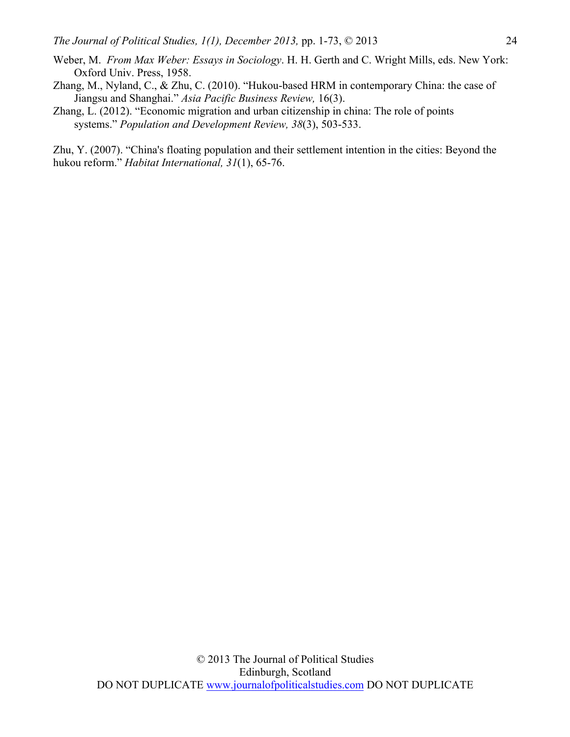- Weber, M. *From Max Weber: Essays in Sociology*. H. H. Gerth and C. Wright Mills, eds. New York: Oxford Univ. Press, 1958.
- Zhang, M., Nyland, C., & Zhu, C. (2010). "Hukou-based HRM in contemporary China: the case of Jiangsu and Shanghai." *Asia Pacific Business Review,* 16(3).
- Zhang, L. (2012). "Economic migration and urban citizenship in china: The role of points systems." *Population and Development Review, 38*(3), 503-533.

Zhu, Y. (2007). "China's floating population and their settlement intention in the cities: Beyond the hukou reform." *Habitat International, 31*(1), 65-76.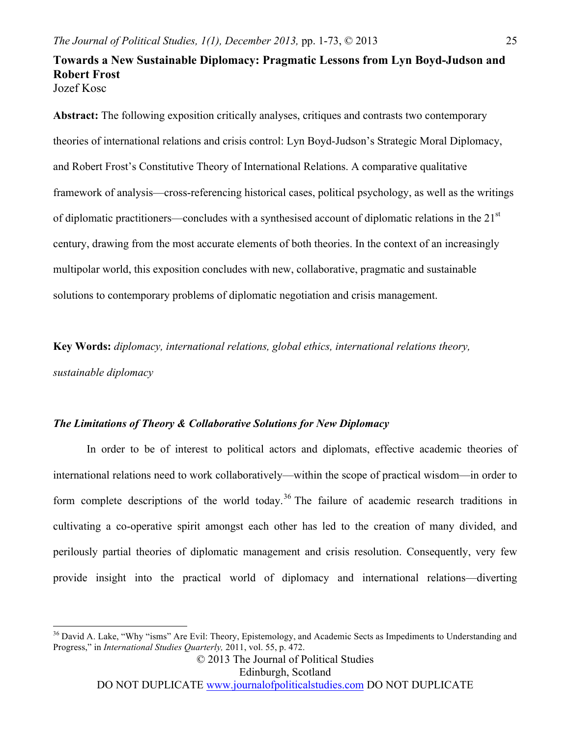## **Towards a New Sustainable Diplomacy: Pragmatic Lessons from Lyn Boyd-Judson and Robert Frost** Jozef Kosc

**Abstract:** The following exposition critically analyses, critiques and contrasts two contemporary theories of international relations and crisis control: Lyn Boyd-Judson's Strategic Moral Diplomacy, and Robert Frost's Constitutive Theory of International Relations. A comparative qualitative framework of analysis—cross-referencing historical cases, political psychology, as well as the writings of diplomatic practitioners—concludes with a synthesised account of diplomatic relations in the  $21<sup>st</sup>$ century, drawing from the most accurate elements of both theories. In the context of an increasingly multipolar world, this exposition concludes with new, collaborative, pragmatic and sustainable solutions to contemporary problems of diplomatic negotiation and crisis management.

**Key Words:** *diplomacy, international relations, global ethics, international relations theory, sustainable diplomacy*

## *The Limitations of Theory & Collaborative Solutions for New Diplomacy*

In order to be of interest to political actors and diplomats, effective academic theories of international relations need to work collaboratively—within the scope of practical wisdom—in order to form complete descriptions of the world today.<sup>36</sup> The failure of academic research traditions in cultivating a co-operative spirit amongst each other has led to the creation of many divided, and perilously partial theories of diplomatic management and crisis resolution. Consequently, very few provide insight into the practical world of diplomacy and international relations—diverting

© 2013 The Journal of Political Studies

Edinburgh, Scotland

<sup>&</sup>lt;sup>36</sup> David A. Lake, "Why "isms" Are Evil: Theory, Epistemology, and Academic Sects as Impediments to Understanding and Progress," in *International Studies Quarterly,* 2011, vol. 55, p. 472.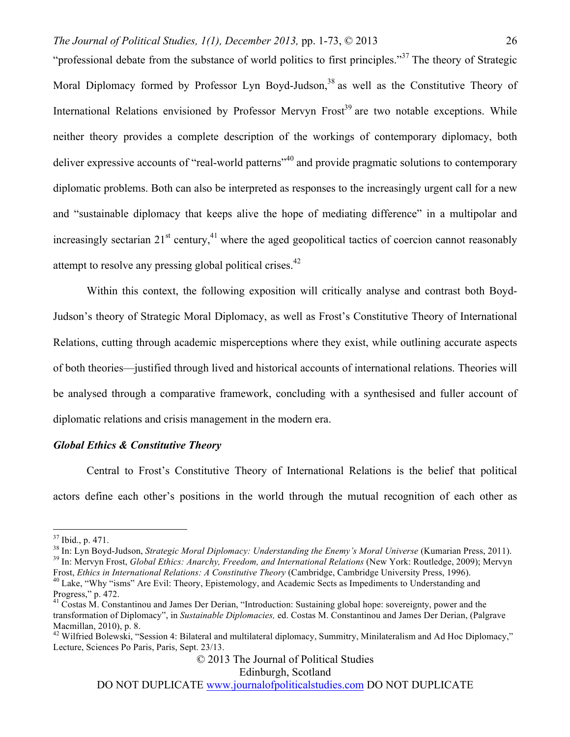"professional debate from the substance of world politics to first principles."<sup>37</sup> The theory of Strategic Moral Diplomacy formed by Professor Lyn Boyd-Judson,<sup>38</sup> as well as the Constitutive Theory of International Relations envisioned by Professor Mervyn Frost<sup>39</sup> are two notable exceptions. While neither theory provides a complete description of the workings of contemporary diplomacy, both deliver expressive accounts of "real-world patterns"<sup>40</sup> and provide pragmatic solutions to contemporary diplomatic problems. Both can also be interpreted as responses to the increasingly urgent call for a new and "sustainable diplomacy that keeps alive the hope of mediating difference" in a multipolar and increasingly sectarian  $21<sup>st</sup>$  century,<sup>41</sup> where the aged geopolitical tactics of coercion cannot reasonably attempt to resolve any pressing global political crises.<sup>42</sup>

Within this context, the following exposition will critically analyse and contrast both Boyd-Judson's theory of Strategic Moral Diplomacy, as well as Frost's Constitutive Theory of International Relations, cutting through academic misperceptions where they exist, while outlining accurate aspects of both theories—justified through lived and historical accounts of international relations. Theories will be analysed through a comparative framework, concluding with a synthesised and fuller account of diplomatic relations and crisis management in the modern era.

## *Global Ethics & Constitutive Theory*

Central to Frost's Constitutive Theory of International Relations is the belief that political actors define each other's positions in the world through the mutual recognition of each other as

© 2013 The Journal of Political Studies

Edinburgh, Scotland

<sup>&</sup>lt;sup>37</sup> Ibid., p. 471.<br><sup>38</sup> In: Lyn Boyd-Judson, *Strategic Moral Diplomacy: Understanding the Enemy's Moral Universe* (Kumarian Press, 2011).<br><sup>39</sup> In: Mervyn Frost, *Global Ethics: Anarchy, Freedom, and International Relatio* 

Frost, Ethics in International Relations: A Constitutive Theory (Cambridge, Cambridge University Press, 1996).<br><sup>40</sup> Lake, "Why "isms" Are Evil: Theory, Epistemology, and Academic Sects as Impediments to Understanding and Progress," p. 472.

<sup>&</sup>lt;sup>41</sup> Costas M. Constantinou and James Der Derian, "Introduction: Sustaining global hope: sovereignty, power and the transformation of Diplomacy", in *Sustainable Diplomacies,* ed. Costas M. Constantinou and James Der Derian, (Palgrave Macmillan, 2010), p. 8.

<sup>&</sup>lt;sup>42</sup> Wilfried Bolewski, "Session 4: Bilateral and multilateral diplomacy, Summitry, Minilateralism and Ad Hoc Diplomacy," Lecture, Sciences Po Paris, Paris, Sept. 23/13.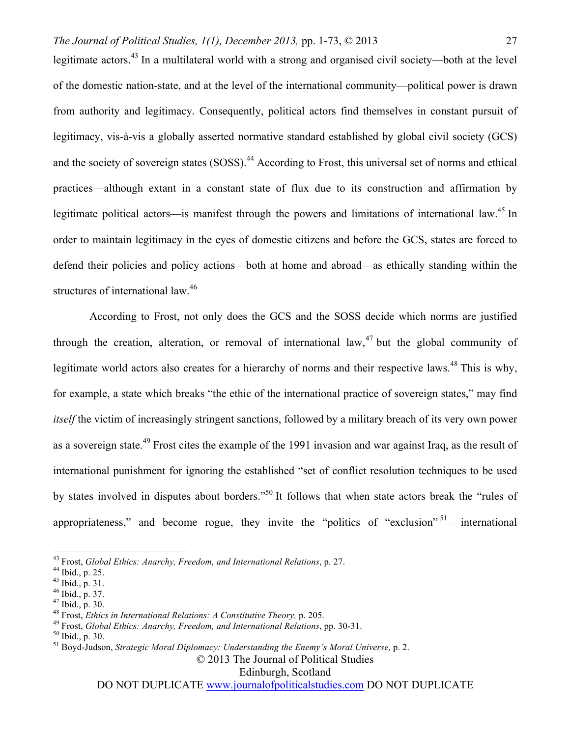legitimate actors.<sup>43</sup> In a multilateral world with a strong and organised civil society—both at the level of the domestic nation-state, and at the level of the international community—political power is drawn from authority and legitimacy. Consequently, political actors find themselves in constant pursuit of legitimacy, vis-à-vis a globally asserted normative standard established by global civil society (GCS) and the society of sovereign states (SOSS).<sup>44</sup> According to Frost, this universal set of norms and ethical practices—although extant in a constant state of flux due to its construction and affirmation by legitimate political actors—is manifest through the powers and limitations of international law.<sup>45</sup> In order to maintain legitimacy in the eyes of domestic citizens and before the GCS, states are forced to defend their policies and policy actions—both at home and abroad—as ethically standing within the structures of international law.<sup>46</sup>

According to Frost, not only does the GCS and the SOSS decide which norms are justified through the creation, alteration, or removal of international law,  $47$  but the global community of legitimate world actors also creates for a hierarchy of norms and their respective laws.<sup>48</sup> This is why, for example, a state which breaks "the ethic of the international practice of sovereign states," may find *itself* the victim of increasingly stringent sanctions, followed by a military breach of its very own power as a sovereign state.<sup>49</sup> Frost cites the example of the 1991 invasion and war against Iraq, as the result of international punishment for ignoring the established "set of conflict resolution techniques to be used by states involved in disputes about borders."50 It follows that when state actors break the "rules of appropriateness," and become rogue, they invite the "politics of "exclusion"  $51$ —international

Edinburgh, Scotland

<sup>&</sup>lt;sup>43</sup> Frost, *Global Ethics: Anarchy, Freedom, and International Relations, p. 27.*<br><sup>44</sup> Ibid., p. 25.<br><sup>45</sup> Ibid., p. 31.<br><sup>45</sup> Ibid., p. 37.<br><sup>47</sup> Ibid., p. 30.<br><sup>48</sup> Frost, *Ethics in International Relations: A Constitutive* 

<sup>© 2013</sup> The Journal of Political Studies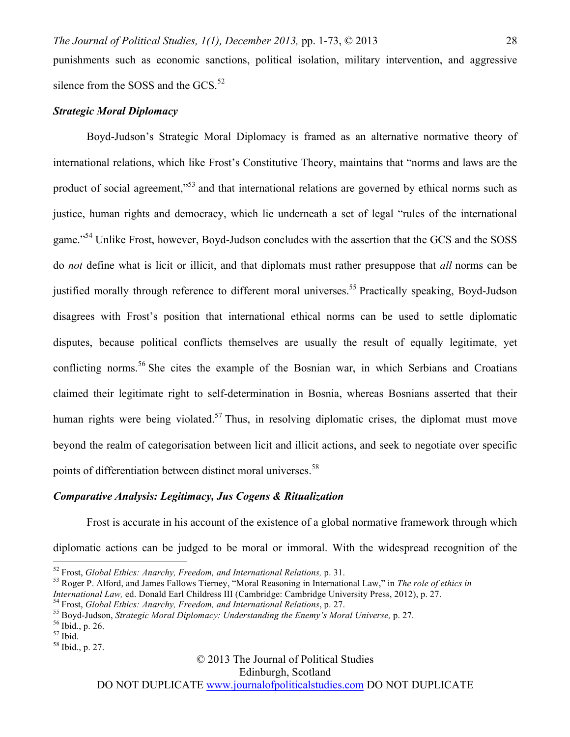punishments such as economic sanctions, political isolation, military intervention, and aggressive silence from the SOSS and the GCS. $52$ 

#### *Strategic Moral Diplomacy*

Boyd-Judson's Strategic Moral Diplomacy is framed as an alternative normative theory of international relations, which like Frost's Constitutive Theory, maintains that "norms and laws are the product of social agreement,<sup>553</sup> and that international relations are governed by ethical norms such as justice, human rights and democracy, which lie underneath a set of legal "rules of the international game."<sup>54</sup> Unlike Frost, however, Boyd-Judson concludes with the assertion that the GCS and the SOSS do *not* define what is licit or illicit, and that diplomats must rather presuppose that *all* norms can be justified morally through reference to different moral universes.<sup>55</sup> Practically speaking, Boyd-Judson disagrees with Frost's position that international ethical norms can be used to settle diplomatic disputes, because political conflicts themselves are usually the result of equally legitimate, yet conflicting norms.<sup>56</sup> She cites the example of the Bosnian war, in which Serbians and Croatians claimed their legitimate right to self-determination in Bosnia, whereas Bosnians asserted that their human rights were being violated.<sup>57</sup> Thus, in resolving diplomatic crises, the diplomat must move beyond the realm of categorisation between licit and illicit actions, and seek to negotiate over specific points of differentiation between distinct moral universes.<sup>58</sup>

#### *Comparative Analysis: Legitimacy, Jus Cogens & Ritualization*

Frost is accurate in his account of the existence of a global normative framework through which diplomatic actions can be judged to be moral or immoral. With the widespread recognition of the

© 2013 The Journal of Political Studies

Edinburgh, Scotland

<sup>&</sup>lt;sup>52</sup> Frost, *Global Ethics: Anarchy, Freedom, and International Relations, p. 31.*<br><sup>53</sup> Roger P. Alford, and James Fallows Tierney, "Moral Reasoning in International Law," in *The role of ethics in*<br>*International Law, ed.* 

<sup>&</sup>lt;sup>54</sup> Frost, *Global Ethics: Anarchy, Freedom, and International Relations*, p. 27.<br><sup>55</sup> Boyd-Judson, *Strategic Moral Diplomacy: Understanding the Enemy's Moral Universe*, p. 27.<br><sup>56</sup> Ibid., p. 26.<br><sup>57</sup> Ibid.<br><sup>58</sup> Ibid.,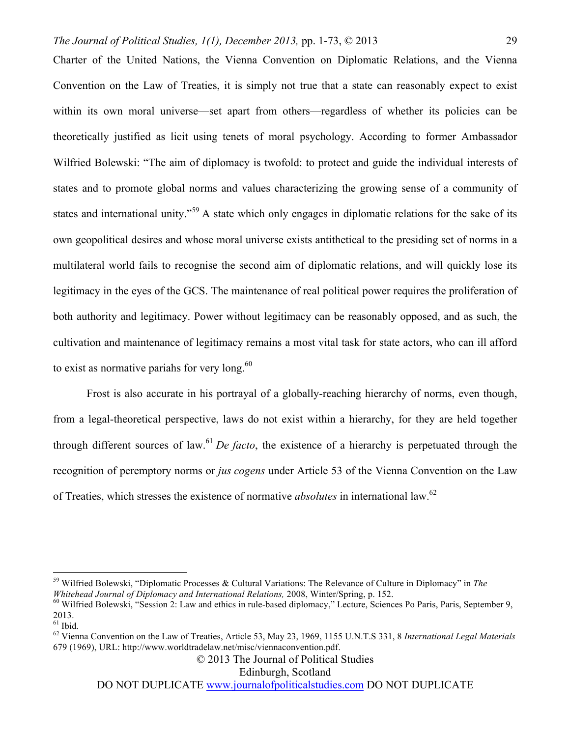Charter of the United Nations, the Vienna Convention on Diplomatic Relations, and the Vienna Convention on the Law of Treaties, it is simply not true that a state can reasonably expect to exist within its own moral universe—set apart from others—regardless of whether its policies can be theoretically justified as licit using tenets of moral psychology. According to former Ambassador Wilfried Bolewski: "The aim of diplomacy is twofold: to protect and guide the individual interests of states and to promote global norms and values characterizing the growing sense of a community of states and international unity."<sup>59</sup> A state which only engages in diplomatic relations for the sake of its own geopolitical desires and whose moral universe exists antithetical to the presiding set of norms in a multilateral world fails to recognise the second aim of diplomatic relations, and will quickly lose its legitimacy in the eyes of the GCS. The maintenance of real political power requires the proliferation of both authority and legitimacy. Power without legitimacy can be reasonably opposed, and as such, the cultivation and maintenance of legitimacy remains a most vital task for state actors, who can ill afford to exist as normative pariahs for very long. $60$ 

Frost is also accurate in his portrayal of a globally-reaching hierarchy of norms, even though, from a legal-theoretical perspective, laws do not exist within a hierarchy, for they are held together through different sources of law.<sup>61</sup> *De facto*, the existence of a hierarchy is perpetuated through the recognition of peremptory norms or *jus cogens* under Article 53 of the Vienna Convention on the Law of Treaties, which stresses the existence of normative *absolutes* in international law.62

Edinburgh, Scotland

 <sup>59</sup> Wilfried Bolewski, "Diplomatic Processes & Cultural Variations: The Relevance of Culture in Diplomacy" in *The* 

<sup>&</sup>lt;sup>60</sup> Wilfried Bolewski, "Session 2: Law and ethics in rule-based diplomacy," Lecture, Sciences Po Paris, Paris, September 9,  $^{2013.}_{61}$  Ibid.

<sup>&</sup>lt;sup>62</sup> Vienna Convention on the Law of Treaties, Article 53, May 23, 1969, 1155 U.N.T.S 331, 8 *International Legal Materials* 679 (1969), URL: http://www.worldtradelaw.net/misc/viennaconvention.pdf.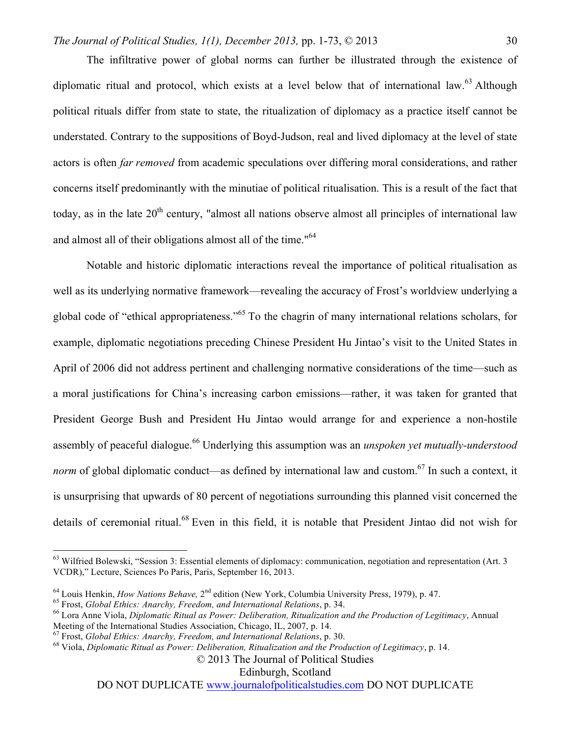The infiltrative power of global norms can further be illustrated through the existence of diplomatic ritual and protocol, which exists at a level below that of international law.<sup>63</sup> Although political rituals differ from state to state, the ritualization of diplomacy as a practice itself cannot be understated. Contrary to the suppositions of Boyd-Judson, real and lived diplomacy at the level of state actors is often *far removed* from academic speculations over differing moral considerations, and rather concerns itself predominantly with the minutiae of political ritualisation. This is a result of the fact that today, as in the late  $20<sup>th</sup>$  century, "almost all nations observe almost all principles of international law and almost all of their obligations almost all of the time."<sup>64</sup>

Notable and historic diplomatic interactions reveal the importance of political ritualisation as well as its underlying normative framework—revealing the accuracy of Frost's worldview underlying a global code of "ethical appropriateness."<sup>65</sup> To the chagrin of many international relations scholars, for example, diplomatic negotiations preceding Chinese President Hu Jintao's visit to the United States in April of 2006 did not address pertinent and challenging normative considerations of the time—such as a moral justifications for China's increasing carbon emissions—rather, it was taken for granted that President George Bush and President Hu Jintao would arrange for and experience a non-hostile assembly of peaceful dialogue.<sup>66</sup> Underlying this assumption was an *unspoken yet mutually-understood norm* of global diplomatic conduct—as defined by international law and custom.<sup>67</sup> In such a context, it is unsurprising that upwards of 80 percent of negotiations surrounding this planned visit concerned the details of ceremonial ritual.<sup>68</sup> Even in this field, it is notable that President Jintao did not wish for

Edinburgh, Scotland

 $63$  Wilfried Bolewski, "Session 3: Essential elements of diplomacy: communication, negotiation and representation (Art. 3) VCDR)," Lecture, Sciences Po Paris, Paris, September 16, 2013.

<sup>&</sup>lt;sup>64</sup> Louis Henkin, *How Nations Behave*,  $2^{nd}$  edition (New York, Columbia University Press, 1979), p. 47.<br><sup>65</sup> Frost, *Global Ethics: Anarchy, Freedom, and International Relations*, p. 34.<br><sup>66</sup> Lora Anne Viola, *Diploma* 

<sup>&</sup>lt;sup>67</sup> Frost, *Global Ethics: Anarchy, Freedom, and International Relations, p. 30.*<br><sup>68</sup> Viola, *Diplomatic Ritual as Power: Deliberation, Ritualization and the Production of Legitimacy, p. 14.* 

<sup>© 2013</sup> The Journal of Political Studies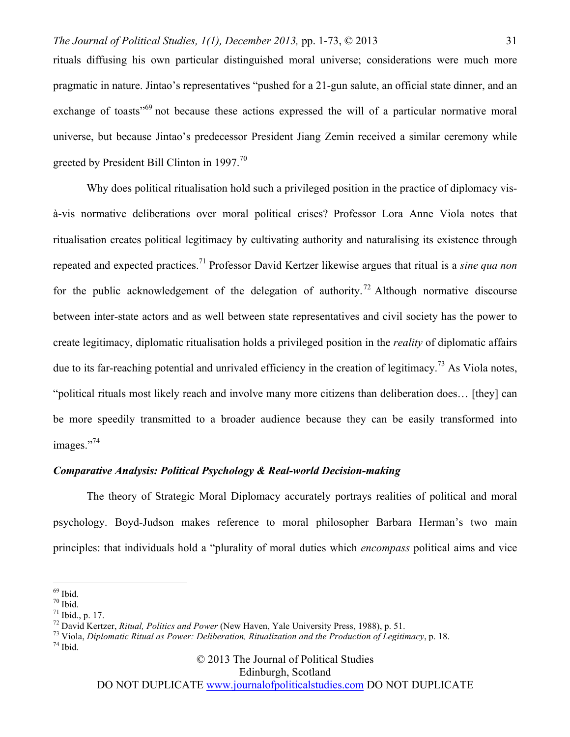rituals diffusing his own particular distinguished moral universe; considerations were much more pragmatic in nature. Jintao's representatives "pushed for a 21-gun salute, an official state dinner, and an exchange of toasts<sup>"69</sup> not because these actions expressed the will of a particular normative moral universe, but because Jintao's predecessor President Jiang Zemin received a similar ceremony while greeted by President Bill Clinton in 1997.<sup>70</sup>

Why does political ritualisation hold such a privileged position in the practice of diplomacy visà-vis normative deliberations over moral political crises? Professor Lora Anne Viola notes that ritualisation creates political legitimacy by cultivating authority and naturalising its existence through repeated and expected practices.71 Professor David Kertzer likewise argues that ritual is a *sine qua non* for the public acknowledgement of the delegation of authority.<sup>72</sup> Although normative discourse between inter-state actors and as well between state representatives and civil society has the power to create legitimacy, diplomatic ritualisation holds a privileged position in the *reality* of diplomatic affairs due to its far-reaching potential and unrivaled efficiency in the creation of legitimacy.<sup>73</sup> As Viola notes, "political rituals most likely reach and involve many more citizens than deliberation does… [they] can be more speedily transmitted to a broader audience because they can be easily transformed into images."<sup>74</sup>

## *Comparative Analysis: Political Psychology & Real-world Decision-making*

The theory of Strategic Moral Diplomacy accurately portrays realities of political and moral psychology. Boyd-Judson makes reference to moral philosopher Barbara Herman's two main principles: that individuals hold a "plurality of moral duties which *encompass* political aims and vice

© 2013 The Journal of Political Studies

Edinburgh, Scotland

<sup>&</sup>lt;sup>69</sup> Ibid.<br><sup>70</sup> Ibid.<br><sup>71</sup> Ibid., p. 17.<br><sup>72</sup> David Kertzer, *Ritual, Politics and Power* (New Haven, Yale University Press, 1988), p. 51.<br><sup>73</sup> Viola, *Diplomatic Ritual as Power: Deliberation, Ritualization and the Produ*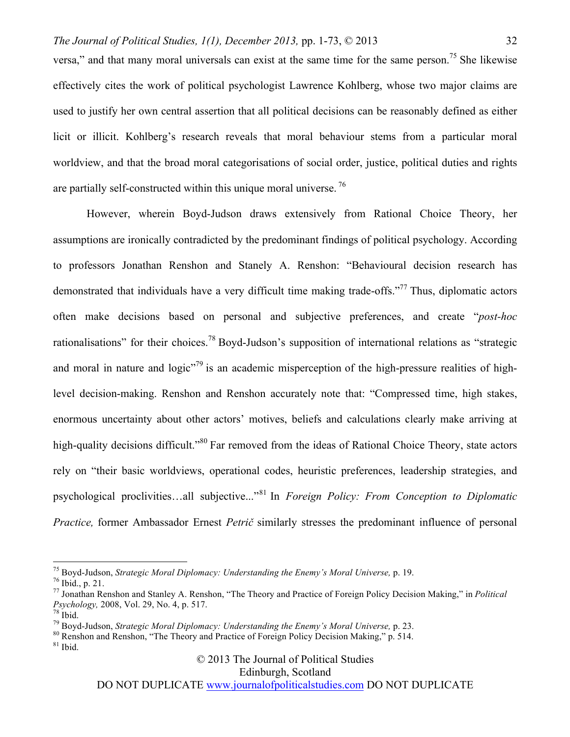versa," and that many moral universals can exist at the same time for the same person.<sup>75</sup> She likewise effectively cites the work of political psychologist Lawrence Kohlberg, whose two major claims are used to justify her own central assertion that all political decisions can be reasonably defined as either licit or illicit. Kohlberg's research reveals that moral behaviour stems from a particular moral worldview, and that the broad moral categorisations of social order, justice, political duties and rights are partially self-constructed within this unique moral universe.<sup>76</sup>

However, wherein Boyd-Judson draws extensively from Rational Choice Theory, her assumptions are ironically contradicted by the predominant findings of political psychology. According to professors Jonathan Renshon and Stanely A. Renshon: "Behavioural decision research has demonstrated that individuals have a very difficult time making trade-offs."<sup>77</sup> Thus, diplomatic actors often make decisions based on personal and subjective preferences, and create "*post-hoc* rationalisations" for their choices.<sup>78</sup> Boyd-Judson's supposition of international relations as "strategic and moral in nature and logic $10^{79}$  is an academic misperception of the high-pressure realities of highlevel decision-making. Renshon and Renshon accurately note that: "Compressed time, high stakes, enormous uncertainty about other actors' motives, beliefs and calculations clearly make arriving at high-quality decisions difficult."<sup>80</sup> Far removed from the ideas of Rational Choice Theory, state actors rely on "their basic worldviews, operational codes, heuristic preferences, leadership strategies, and psychological proclivities…all subjective..."<sup>81</sup> In *Foreign Policy: From Conception to Diplomatic Practice,* former Ambassador Ernest *Petrič* similarly stresses the predominant influence of personal

© 2013 The Journal of Political Studies

Edinburgh, Scotland

<sup>&</sup>lt;sup>75</sup> Boyd-Judson, *Strategic Moral Diplomacy: Understanding the Enemy's Moral Universe*, p. 19.<br><sup>76</sup> Ibid., p. 21.<br><sup>77</sup> Jonathan Renshon and Stanley A. Renshon, "The Theory and Practice of Foreign Policy Decision Making,"

<sup>&</sup>lt;sup>78</sup> Ibid.<br><sup>79</sup> Boyd-Judson, *Strategic Moral Diplomacy: Understanding the Enemy's Moral Universe*, p. 23.<br><sup>80</sup> Renshon and Renshon, "The Theory and Practice of Foreign Policy Decision Making," p. 514.<br><sup>81</sup> Ibid.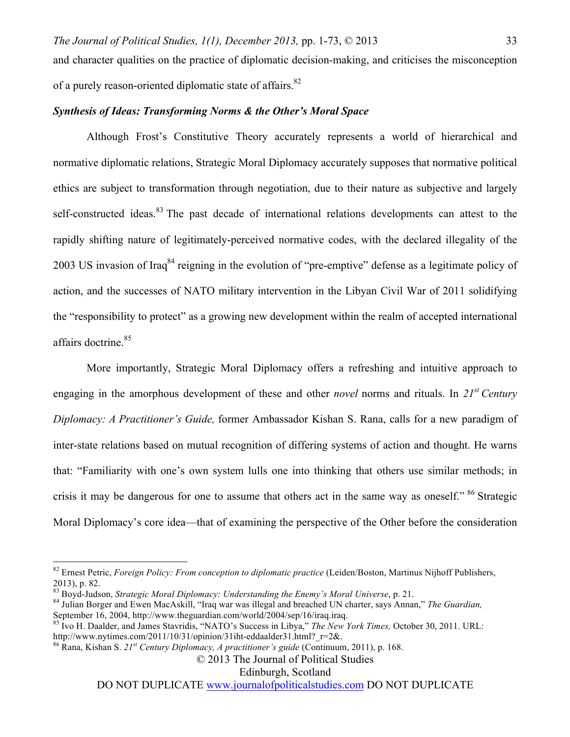and character qualities on the practice of diplomatic decision-making, and criticises the misconception of a purely reason-oriented diplomatic state of affairs.<sup>82</sup>

#### *Synthesis of Ideas: Transforming Norms & the Other's Moral Space*

Although Frost's Constitutive Theory accurately represents a world of hierarchical and normative diplomatic relations, Strategic Moral Diplomacy accurately supposes that normative political ethics are subject to transformation through negotiation, due to their nature as subjective and largely self-constructed ideas.<sup>83</sup> The past decade of international relations developments can attest to the rapidly shifting nature of legitimately-perceived normative codes, with the declared illegality of the 2003 US invasion of Iraq<sup>84</sup> reigning in the evolution of "pre-emptive" defense as a legitimate policy of action, and the successes of NATO military intervention in the Libyan Civil War of 2011 solidifying the "responsibility to protect" as a growing new development within the realm of accepted international affairs doctrine.<sup>85</sup>

More importantly, Strategic Moral Diplomacy offers a refreshing and intuitive approach to engaging in the amorphous development of these and other *novel* norms and rituals. In *21st Century Diplomacy: A Practitioner's Guide,* former Ambassador Kishan S. Rana, calls for a new paradigm of inter-state relations based on mutual recognition of differing systems of action and thought. He warns that: "Familiarity with one's own system lulls one into thinking that others use similar methods; in crisis it may be dangerous for one to assume that others act in the same way as oneself." <sup>86</sup> Strategic Moral Diplomacy's core idea—that of examining the perspective of the Other before the consideration

Edinburgh, Scotland

 <sup>82</sup> Ernest Petric, *Foreign Policy: From conception to diplomatic practice* (Leiden/Boston, Martinus Nijhoff Publishers, 2013), p. 82.<br><sup>83</sup> Boyd-Judson, *Strategic Moral Diplomacy: Understanding the Enemy's Moral Universe*, p. 21.

<sup>&</sup>lt;sup>84</sup> Julian Borger and Ewen MacAskill, "Iraq war was illegal and breached UN charter, says Annan," *The Guardian,* September 16, 2004, http://www.theguardian.com/world/2004/sep/16/iraq.iraq.<br><sup>85</sup> Ivo H. Daalder, and James Stavridis, "NATO's Success in Libya," *The New York Times*, October 30, 2011. URL:

http://www.nytimes.com/2011/10/31/opinion/31iht-eddaalder31.html?\_r=2&. 86 Rana, Kishan S. *21st Century Diplomacy, A practitioner's guide* (Continuum, 2011), p. 168.

<sup>© 2013</sup> The Journal of Political Studies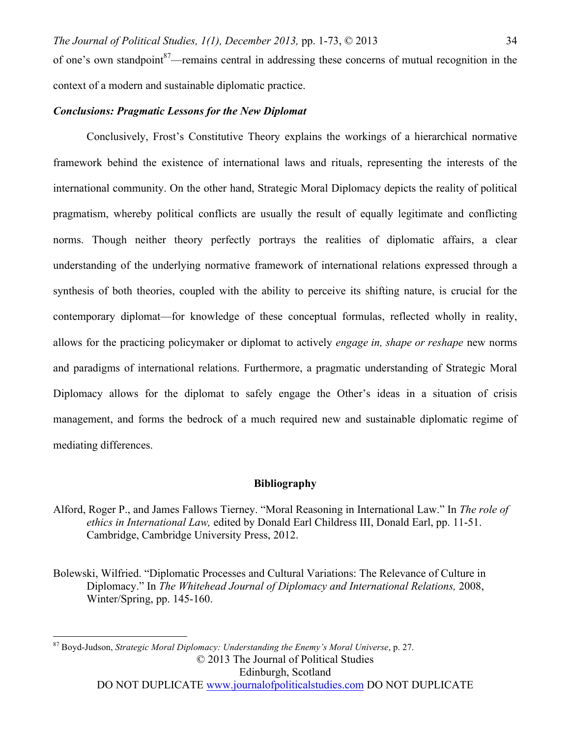of one's own standpoint<sup>87</sup>—remains central in addressing these concerns of mutual recognition in the context of a modern and sustainable diplomatic practice.

## *Conclusions: Pragmatic Lessons for the New Diplomat*

Conclusively, Frost's Constitutive Theory explains the workings of a hierarchical normative framework behind the existence of international laws and rituals, representing the interests of the international community. On the other hand, Strategic Moral Diplomacy depicts the reality of political pragmatism, whereby political conflicts are usually the result of equally legitimate and conflicting norms. Though neither theory perfectly portrays the realities of diplomatic affairs, a clear understanding of the underlying normative framework of international relations expressed through a synthesis of both theories, coupled with the ability to perceive its shifting nature, is crucial for the contemporary diplomat—for knowledge of these conceptual formulas, reflected wholly in reality, allows for the practicing policymaker or diplomat to actively *engage in, shape or reshape* new norms and paradigms of international relations. Furthermore, a pragmatic understanding of Strategic Moral Diplomacy allows for the diplomat to safely engage the Other's ideas in a situation of crisis management, and forms the bedrock of a much required new and sustainable diplomatic regime of mediating differences.

#### **Bibliography**

- Alford, Roger P., and James Fallows Tierney. "Moral Reasoning in International Law." In *The role of ethics in International Law,* edited by Donald Earl Childress III, Donald Earl, pp. 11-51. Cambridge, Cambridge University Press, 2012.
- Bolewski, Wilfried. "Diplomatic Processes and Cultural Variations: The Relevance of Culture in Diplomacy." In *The Whitehead Journal of Diplomacy and International Relations, 2008,* Winter/Spring, pp. 145-160.

© 2013 The Journal of Political Studies Edinburgh, Scotland DO NOT DUPLICATE www.journalofpoliticalstudies.com DO NOT DUPLICATE 87 Boyd-Judson, *Strategic Moral Diplomacy: Understanding the Enemy's Moral Universe*, p. 27.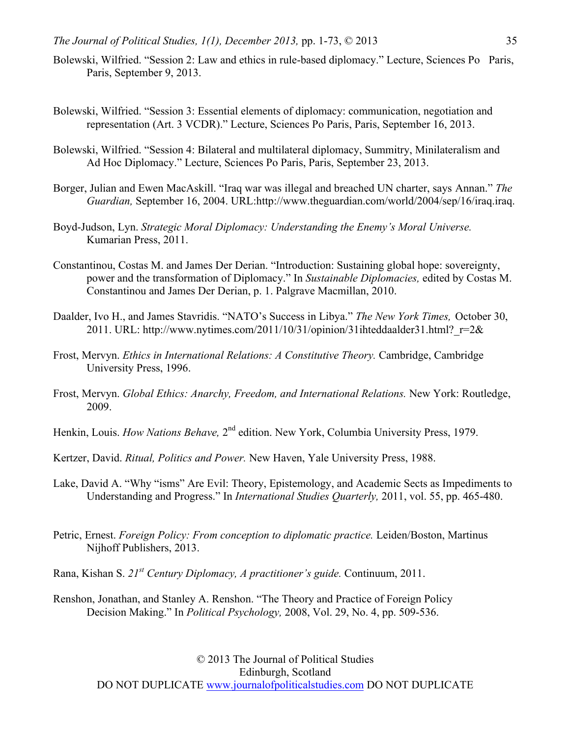- Bolewski, Wilfried. "Session 2: Law and ethics in rule-based diplomacy." Lecture, Sciences Po Paris, Paris, September 9, 2013.
- Bolewski, Wilfried. "Session 3: Essential elements of diplomacy: communication, negotiation and representation (Art. 3 VCDR)." Lecture, Sciences Po Paris, Paris, September 16, 2013.
- Bolewski, Wilfried. "Session 4: Bilateral and multilateral diplomacy, Summitry, Minilateralism and Ad Hoc Diplomacy." Lecture, Sciences Po Paris, Paris, September 23, 2013.
- Borger, Julian and Ewen MacAskill. "Iraq war was illegal and breached UN charter, says Annan." *The Guardian,* September 16, 2004. URL:http://www.theguardian.com/world/2004/sep/16/iraq.iraq.
- Boyd-Judson, Lyn. *Strategic Moral Diplomacy: Understanding the Enemy's Moral Universe.*  Kumarian Press, 2011.
- Constantinou, Costas M. and James Der Derian. "Introduction: Sustaining global hope: sovereignty, power and the transformation of Diplomacy." In *Sustainable Diplomacies,* edited by Costas M. Constantinou and James Der Derian, p. 1. Palgrave Macmillan, 2010.
- Daalder, Ivo H., and James Stavridis. "NATO's Success in Libya." *The New York Times,* October 30, 2011. URL: http://www.nytimes.com/2011/10/31/opinion/31ihteddaalder31.html?  $r=2\&$
- Frost, Mervyn. *Ethics in International Relations: A Constitutive Theory.* Cambridge, Cambridge University Press, 1996.
- Frost, Mervyn. *Global Ethics: Anarchy, Freedom, and International Relations.* New York: Routledge, 2009.
- Henkin, Louis. *How Nations Behave*, 2<sup>nd</sup> edition. New York, Columbia University Press, 1979.
- Kertzer, David. *Ritual, Politics and Power.* New Haven, Yale University Press, 1988.
- Lake, David A. "Why "isms" Are Evil: Theory, Epistemology, and Academic Sects as Impediments to Understanding and Progress." In *International Studies Quarterly,* 2011, vol. 55, pp. 465-480.
- Petric, Ernest. *Foreign Policy: From conception to diplomatic practice*. Leiden/Boston, Martinus Nijhoff Publishers, 2013.
- Rana, Kishan S. *21st Century Diplomacy, A practitioner's guide.* Continuum, 2011.
- Renshon, Jonathan, and Stanley A. Renshon. "The Theory and Practice of Foreign Policy Decision Making." In *Political Psychology,* 2008, Vol. 29, No. 4, pp. 509-536.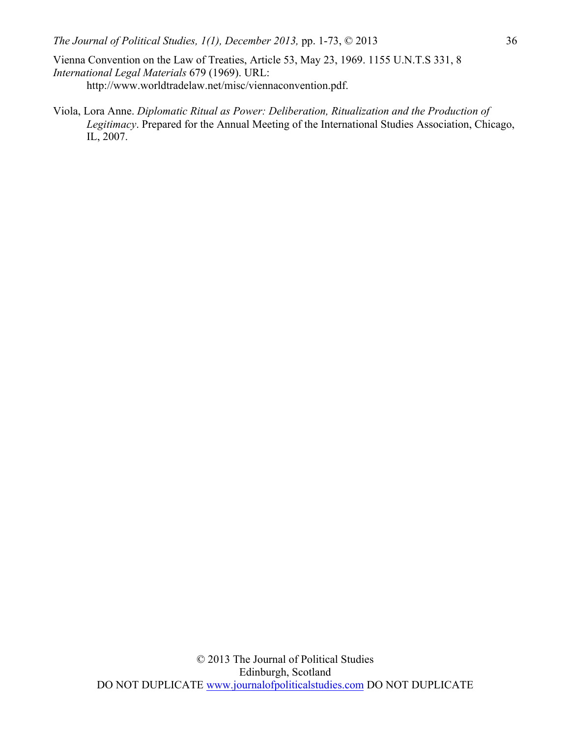- Vienna Convention on the Law of Treaties, Article 53, May 23, 1969. 1155 U.N.T.S 331, 8 *International Legal Materials* 679 (1969). URL: http://www.worldtradelaw.net/misc/viennaconvention.pdf.
- Viola, Lora Anne. *Diplomatic Ritual as Power: Deliberation, Ritualization and the Production of Legitimacy*. Prepared for the Annual Meeting of the International Studies Association, Chicago, IL, 2007.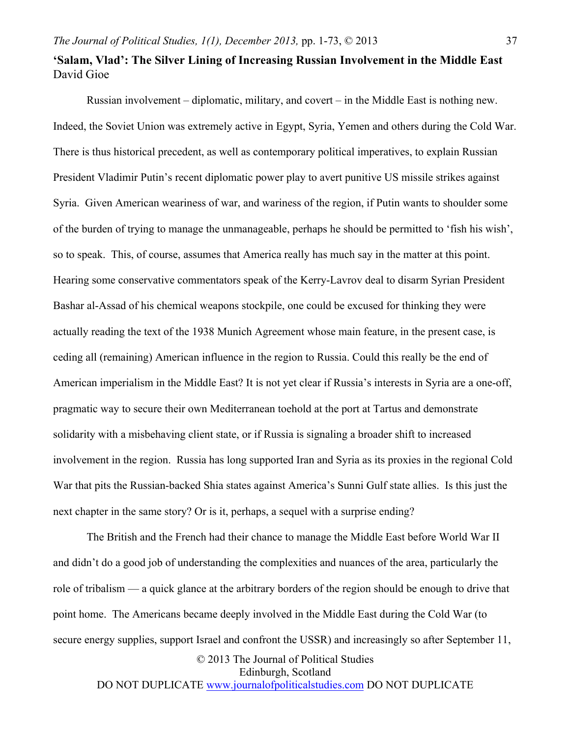## **'Salam, Vlad': The Silver Lining of Increasing Russian Involvement in the Middle East** David Gioe

Russian involvement – diplomatic, military, and covert – in the Middle East is nothing new. Indeed, the Soviet Union was extremely active in Egypt, Syria, Yemen and others during the Cold War. There is thus historical precedent, as well as contemporary political imperatives, to explain Russian President Vladimir Putin's recent diplomatic power play to avert punitive US missile strikes against Syria. Given American weariness of war, and wariness of the region, if Putin wants to shoulder some of the burden of trying to manage the unmanageable, perhaps he should be permitted to 'fish his wish', so to speak. This, of course, assumes that America really has much say in the matter at this point. Hearing some conservative commentators speak of the Kerry-Lavrov deal to disarm Syrian President Bashar al-Assad of his chemical weapons stockpile, one could be excused for thinking they were actually reading the text of the 1938 Munich Agreement whose main feature, in the present case, is ceding all (remaining) American influence in the region to Russia. Could this really be the end of American imperialism in the Middle East? It is not yet clear if Russia's interests in Syria are a one-off, pragmatic way to secure their own Mediterranean toehold at the port at Tartus and demonstrate solidarity with a misbehaving client state, or if Russia is signaling a broader shift to increased involvement in the region. Russia has long supported Iran and Syria as its proxies in the regional Cold War that pits the Russian-backed Shia states against America's Sunni Gulf state allies. Is this just the next chapter in the same story? Or is it, perhaps, a sequel with a surprise ending?

© 2013 The Journal of Political Studies The British and the French had their chance to manage the Middle East before World War II and didn't do a good job of understanding the complexities and nuances of the area, particularly the role of tribalism — a quick glance at the arbitrary borders of the region should be enough to drive that point home. The Americans became deeply involved in the Middle East during the Cold War (to secure energy supplies, support Israel and confront the USSR) and increasingly so after September 11,

Edinburgh, Scotland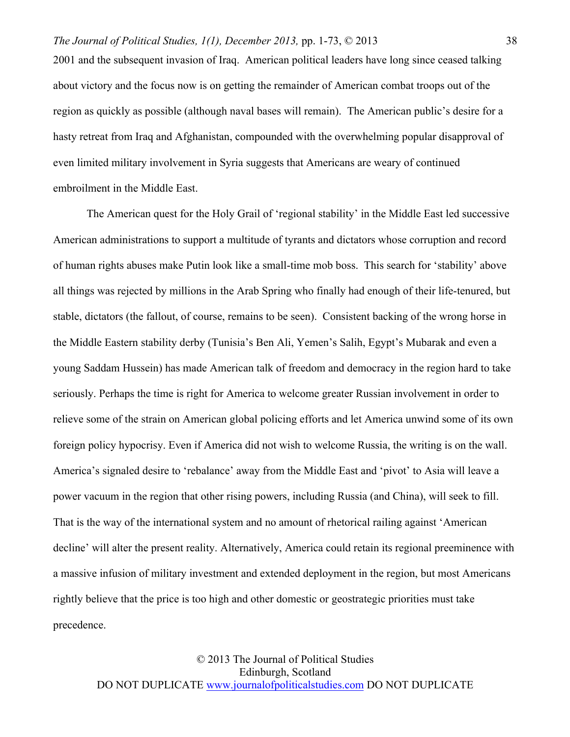2001 and the subsequent invasion of Iraq. American political leaders have long since ceased talking about victory and the focus now is on getting the remainder of American combat troops out of the region as quickly as possible (although naval bases will remain). The American public's desire for a hasty retreat from Iraq and Afghanistan, compounded with the overwhelming popular disapproval of even limited military involvement in Syria suggests that Americans are weary of continued embroilment in the Middle East.

The American quest for the Holy Grail of 'regional stability' in the Middle East led successive American administrations to support a multitude of tyrants and dictators whose corruption and record of human rights abuses make Putin look like a small-time mob boss. This search for 'stability' above all things was rejected by millions in the Arab Spring who finally had enough of their life-tenured, but stable, dictators (the fallout, of course, remains to be seen). Consistent backing of the wrong horse in the Middle Eastern stability derby (Tunisia's Ben Ali, Yemen's Salih, Egypt's Mubarak and even a young Saddam Hussein) has made American talk of freedom and democracy in the region hard to take seriously. Perhaps the time is right for America to welcome greater Russian involvement in order to relieve some of the strain on American global policing efforts and let America unwind some of its own foreign policy hypocrisy. Even if America did not wish to welcome Russia, the writing is on the wall. America's signaled desire to 'rebalance' away from the Middle East and 'pivot' to Asia will leave a power vacuum in the region that other rising powers, including Russia (and China), will seek to fill. That is the way of the international system and no amount of rhetorical railing against 'American decline' will alter the present reality. Alternatively, America could retain its regional preeminence with a massive infusion of military investment and extended deployment in the region, but most Americans rightly believe that the price is too high and other domestic or geostrategic priorities must take precedence.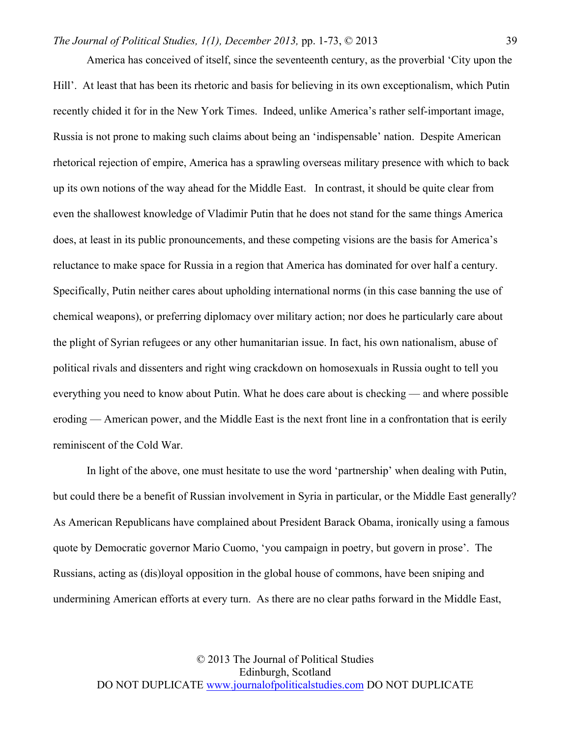America has conceived of itself, since the seventeenth century, as the proverbial 'City upon the Hill'. At least that has been its rhetoric and basis for believing in its own exceptionalism, which Putin recently chided it for in the New York Times. Indeed, unlike America's rather self-important image, Russia is not prone to making such claims about being an 'indispensable' nation. Despite American rhetorical rejection of empire, America has a sprawling overseas military presence with which to back up its own notions of the way ahead for the Middle East. In contrast, it should be quite clear from even the shallowest knowledge of Vladimir Putin that he does not stand for the same things America does, at least in its public pronouncements, and these competing visions are the basis for America's reluctance to make space for Russia in a region that America has dominated for over half a century. Specifically, Putin neither cares about upholding international norms (in this case banning the use of chemical weapons), or preferring diplomacy over military action; nor does he particularly care about the plight of Syrian refugees or any other humanitarian issue. In fact, his own nationalism, abuse of political rivals and dissenters and right wing crackdown on homosexuals in Russia ought to tell you everything you need to know about Putin. What he does care about is checking — and where possible eroding — American power, and the Middle East is the next front line in a confrontation that is eerily reminiscent of the Cold War.

In light of the above, one must hesitate to use the word 'partnership' when dealing with Putin, but could there be a benefit of Russian involvement in Syria in particular, or the Middle East generally? As American Republicans have complained about President Barack Obama, ironically using a famous quote by Democratic governor Mario Cuomo, 'you campaign in poetry, but govern in prose'. The Russians, acting as (dis)loyal opposition in the global house of commons, have been sniping and undermining American efforts at every turn. As there are no clear paths forward in the Middle East,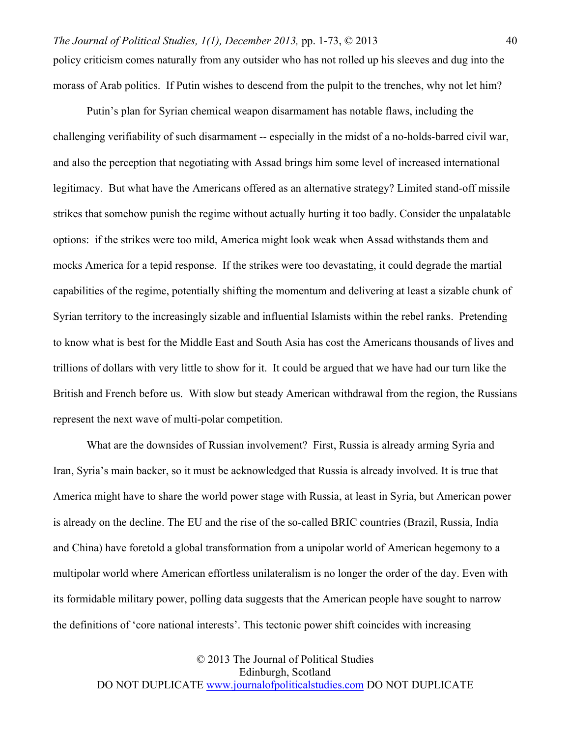Putin's plan for Syrian chemical weapon disarmament has notable flaws, including the challenging verifiability of such disarmament -- especially in the midst of a no-holds-barred civil war, and also the perception that negotiating with Assad brings him some level of increased international legitimacy. But what have the Americans offered as an alternative strategy? Limited stand-off missile strikes that somehow punish the regime without actually hurting it too badly. Consider the unpalatable options: if the strikes were too mild, America might look weak when Assad withstands them and mocks America for a tepid response. If the strikes were too devastating, it could degrade the martial capabilities of the regime, potentially shifting the momentum and delivering at least a sizable chunk of Syrian territory to the increasingly sizable and influential Islamists within the rebel ranks. Pretending to know what is best for the Middle East and South Asia has cost the Americans thousands of lives and trillions of dollars with very little to show for it. It could be argued that we have had our turn like the British and French before us. With slow but steady American withdrawal from the region, the Russians represent the next wave of multi-polar competition.

What are the downsides of Russian involvement? First, Russia is already arming Syria and Iran, Syria's main backer, so it must be acknowledged that Russia is already involved. It is true that America might have to share the world power stage with Russia, at least in Syria, but American power is already on the decline. The EU and the rise of the so-called BRIC countries (Brazil, Russia, India and China) have foretold a global transformation from a unipolar world of American hegemony to a multipolar world where American effortless unilateralism is no longer the order of the day. Even with its formidable military power, polling data suggests that the American people have sought to narrow the definitions of 'core national interests'. This tectonic power shift coincides with increasing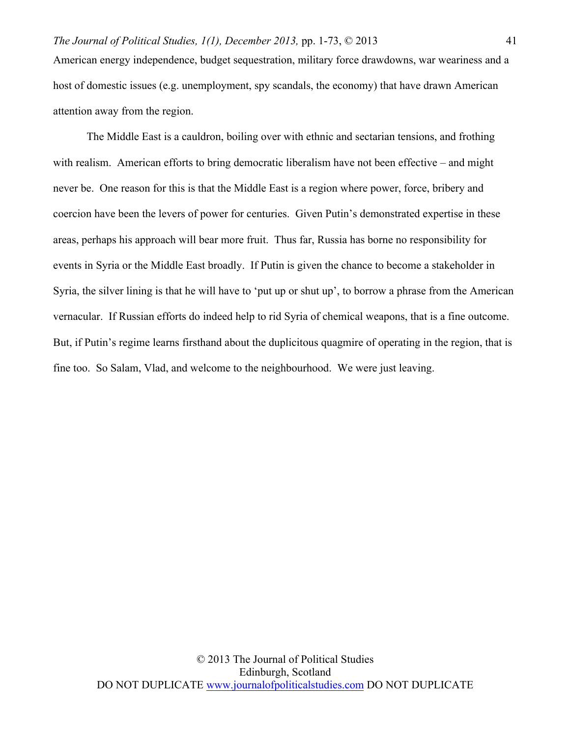American energy independence, budget sequestration, military force drawdowns, war weariness and a host of domestic issues (e.g. unemployment, spy scandals, the economy) that have drawn American attention away from the region.

The Middle East is a cauldron, boiling over with ethnic and sectarian tensions, and frothing with realism. American efforts to bring democratic liberalism have not been effective – and might never be. One reason for this is that the Middle East is a region where power, force, bribery and coercion have been the levers of power for centuries. Given Putin's demonstrated expertise in these areas, perhaps his approach will bear more fruit. Thus far, Russia has borne no responsibility for events in Syria or the Middle East broadly. If Putin is given the chance to become a stakeholder in Syria, the silver lining is that he will have to 'put up or shut up', to borrow a phrase from the American vernacular. If Russian efforts do indeed help to rid Syria of chemical weapons, that is a fine outcome. But, if Putin's regime learns firsthand about the duplicitous quagmire of operating in the region, that is fine too. So Salam, Vlad, and welcome to the neighbourhood. We were just leaving.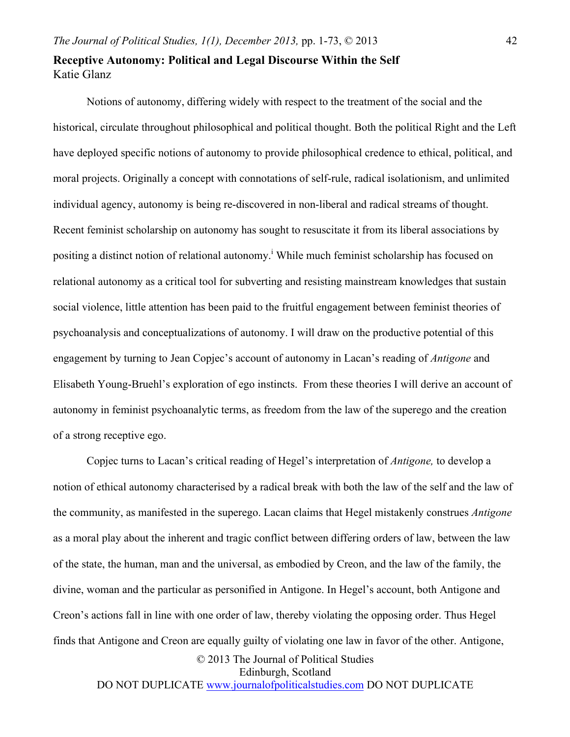## **Receptive Autonomy: Political and Legal Discourse Within the Self** Katie Glanz

Notions of autonomy, differing widely with respect to the treatment of the social and the historical, circulate throughout philosophical and political thought. Both the political Right and the Left have deployed specific notions of autonomy to provide philosophical credence to ethical, political, and moral projects. Originally a concept with connotations of self-rule, radical isolationism, and unlimited individual agency, autonomy is being re-discovered in non-liberal and radical streams of thought. Recent feminist scholarship on autonomy has sought to resuscitate it from its liberal associations by positing a distinct notion of relational autonomy.<sup>i</sup> While much feminist scholarship has focused on relational autonomy as a critical tool for subverting and resisting mainstream knowledges that sustain social violence, little attention has been paid to the fruitful engagement between feminist theories of psychoanalysis and conceptualizations of autonomy. I will draw on the productive potential of this engagement by turning to Jean Copjec's account of autonomy in Lacan's reading of *Antigone* and Elisabeth Young-Bruehl's exploration of ego instincts. From these theories I will derive an account of autonomy in feminist psychoanalytic terms, as freedom from the law of the superego and the creation of a strong receptive ego.

© 2013 The Journal of Political Studies Edinburgh, Scotland Copjec turns to Lacan's critical reading of Hegel's interpretation of *Antigone,* to develop a notion of ethical autonomy characterised by a radical break with both the law of the self and the law of the community, as manifested in the superego. Lacan claims that Hegel mistakenly construes *Antigone* as a moral play about the inherent and tragic conflict between differing orders of law, between the law of the state, the human, man and the universal, as embodied by Creon, and the law of the family, the divine, woman and the particular as personified in Antigone. In Hegel's account, both Antigone and Creon's actions fall in line with one order of law, thereby violating the opposing order. Thus Hegel finds that Antigone and Creon are equally guilty of violating one law in favor of the other. Antigone,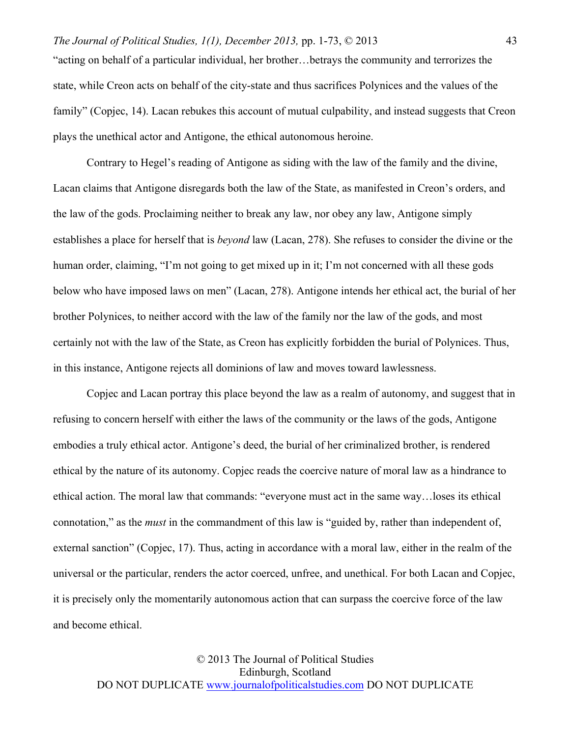"acting on behalf of a particular individual, her brother…betrays the community and terrorizes the state, while Creon acts on behalf of the city-state and thus sacrifices Polynices and the values of the family" (Copjec, 14). Lacan rebukes this account of mutual culpability, and instead suggests that Creon plays the unethical actor and Antigone, the ethical autonomous heroine.

Contrary to Hegel's reading of Antigone as siding with the law of the family and the divine, Lacan claims that Antigone disregards both the law of the State, as manifested in Creon's orders, and the law of the gods. Proclaiming neither to break any law, nor obey any law, Antigone simply establishes a place for herself that is *beyond* law (Lacan, 278). She refuses to consider the divine or the human order, claiming, "I'm not going to get mixed up in it; I'm not concerned with all these gods below who have imposed laws on men" (Lacan, 278). Antigone intends her ethical act, the burial of her brother Polynices, to neither accord with the law of the family nor the law of the gods, and most certainly not with the law of the State, as Creon has explicitly forbidden the burial of Polynices. Thus, in this instance, Antigone rejects all dominions of law and moves toward lawlessness.

Copjec and Lacan portray this place beyond the law as a realm of autonomy, and suggest that in refusing to concern herself with either the laws of the community or the laws of the gods, Antigone embodies a truly ethical actor. Antigone's deed, the burial of her criminalized brother, is rendered ethical by the nature of its autonomy. Copjec reads the coercive nature of moral law as a hindrance to ethical action. The moral law that commands: "everyone must act in the same way…loses its ethical connotation," as the *must* in the commandment of this law is "guided by, rather than independent of, external sanction" (Copjec, 17). Thus, acting in accordance with a moral law, either in the realm of the universal or the particular, renders the actor coerced, unfree, and unethical. For both Lacan and Copjec, it is precisely only the momentarily autonomous action that can surpass the coercive force of the law and become ethical.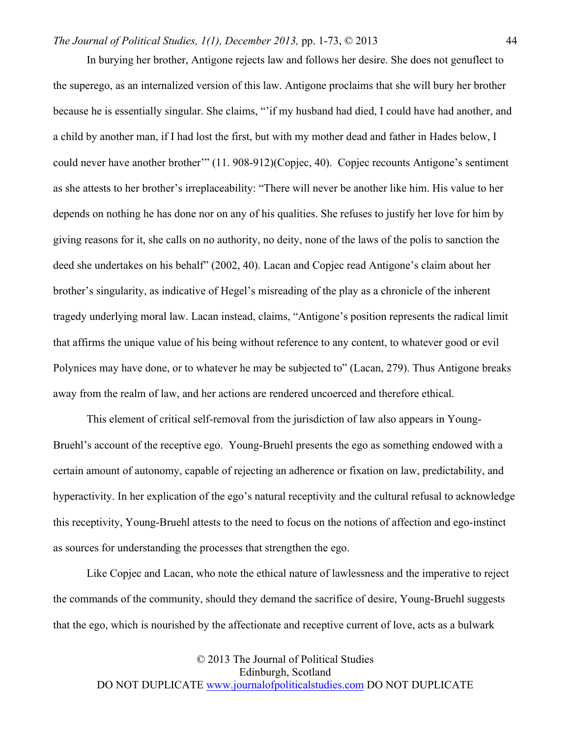In burying her brother, Antigone rejects law and follows her desire. She does not genuflect to the superego, as an internalized version of this law. Antigone proclaims that she will bury her brother because he is essentially singular. She claims, "'if my husband had died, I could have had another, and a child by another man, if I had lost the first, but with my mother dead and father in Hades below, I could never have another brother'" (11. 908-912)(Copjec, 40). Copjec recounts Antigone's sentiment as she attests to her brother's irreplaceability: "There will never be another like him. His value to her depends on nothing he has done nor on any of his qualities. She refuses to justify her love for him by giving reasons for it, she calls on no authority, no deity, none of the laws of the polis to sanction the deed she undertakes on his behalf" (2002, 40). Lacan and Copjec read Antigone's claim about her brother's singularity, as indicative of Hegel's misreading of the play as a chronicle of the inherent tragedy underlying moral law. Lacan instead, claims, "Antigone's position represents the radical limit that affirms the unique value of his being without reference to any content, to whatever good or evil Polynices may have done, or to whatever he may be subjected to" (Lacan, 279). Thus Antigone breaks away from the realm of law, and her actions are rendered uncoerced and therefore ethical.

This element of critical self-removal from the jurisdiction of law also appears in Young-Bruehl's account of the receptive ego. Young-Bruehl presents the ego as something endowed with a certain amount of autonomy, capable of rejecting an adherence or fixation on law, predictability, and hyperactivity. In her explication of the ego's natural receptivity and the cultural refusal to acknowledge this receptivity, Young-Bruehl attests to the need to focus on the notions of affection and ego-instinct as sources for understanding the processes that strengthen the ego.

Like Copjec and Lacan, who note the ethical nature of lawlessness and the imperative to reject the commands of the community, should they demand the sacrifice of desire, Young-Bruehl suggests that the ego, which is nourished by the affectionate and receptive current of love, acts as a bulwark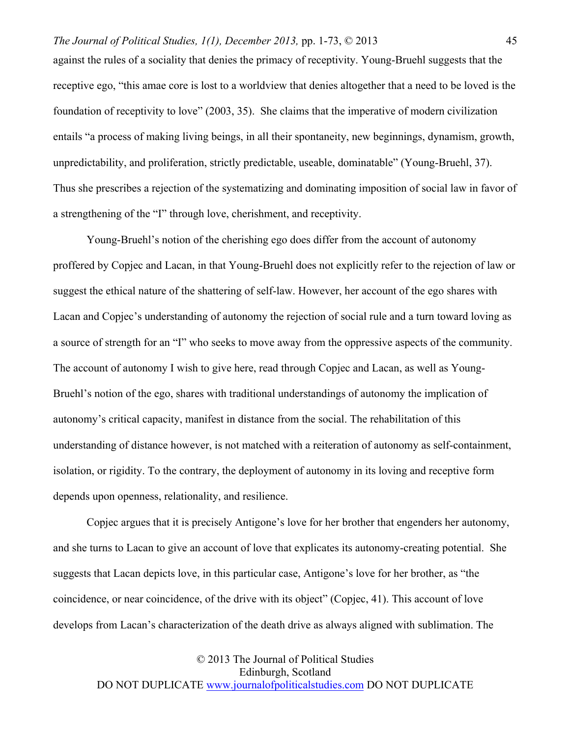against the rules of a sociality that denies the primacy of receptivity. Young-Bruehl suggests that the receptive ego, "this amae core is lost to a worldview that denies altogether that a need to be loved is the foundation of receptivity to love" (2003, 35). She claims that the imperative of modern civilization entails "a process of making living beings, in all their spontaneity, new beginnings, dynamism, growth, unpredictability, and proliferation, strictly predictable, useable, dominatable" (Young-Bruehl, 37). Thus she prescribes a rejection of the systematizing and dominating imposition of social law in favor of a strengthening of the "I" through love, cherishment, and receptivity.

Young-Bruehl's notion of the cherishing ego does differ from the account of autonomy proffered by Copjec and Lacan, in that Young-Bruehl does not explicitly refer to the rejection of law or suggest the ethical nature of the shattering of self-law. However, her account of the ego shares with Lacan and Copjec's understanding of autonomy the rejection of social rule and a turn toward loving as a source of strength for an "I" who seeks to move away from the oppressive aspects of the community. The account of autonomy I wish to give here, read through Copjec and Lacan, as well as Young-Bruehl's notion of the ego, shares with traditional understandings of autonomy the implication of autonomy's critical capacity, manifest in distance from the social. The rehabilitation of this understanding of distance however, is not matched with a reiteration of autonomy as self-containment, isolation, or rigidity. To the contrary, the deployment of autonomy in its loving and receptive form depends upon openness, relationality, and resilience.

Copjec argues that it is precisely Antigone's love for her brother that engenders her autonomy, and she turns to Lacan to give an account of love that explicates its autonomy-creating potential. She suggests that Lacan depicts love, in this particular case, Antigone's love for her brother, as "the coincidence, or near coincidence, of the drive with its object" (Copjec, 41). This account of love develops from Lacan's characterization of the death drive as always aligned with sublimation. The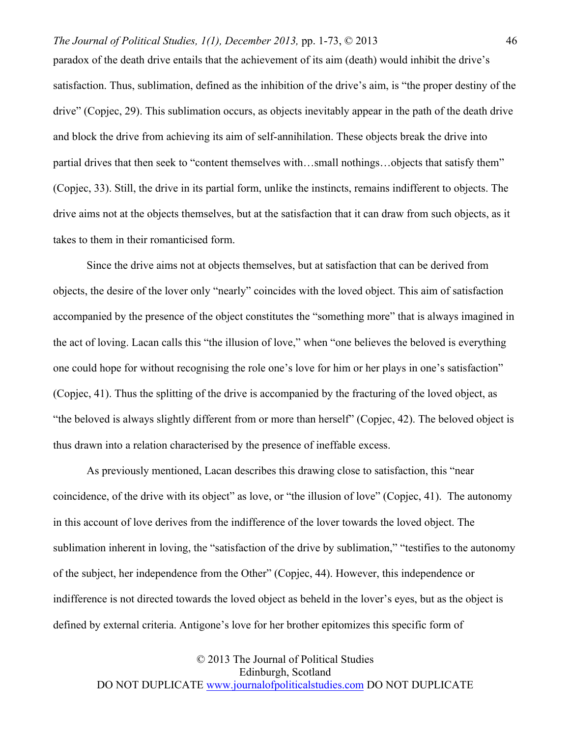paradox of the death drive entails that the achievement of its aim (death) would inhibit the drive's satisfaction. Thus, sublimation, defined as the inhibition of the drive's aim, is "the proper destiny of the drive" (Copjec, 29). This sublimation occurs, as objects inevitably appear in the path of the death drive and block the drive from achieving its aim of self-annihilation. These objects break the drive into partial drives that then seek to "content themselves with…small nothings…objects that satisfy them" (Copjec, 33). Still, the drive in its partial form, unlike the instincts, remains indifferent to objects. The drive aims not at the objects themselves, but at the satisfaction that it can draw from such objects, as it takes to them in their romanticised form.

Since the drive aims not at objects themselves, but at satisfaction that can be derived from objects, the desire of the lover only "nearly" coincides with the loved object. This aim of satisfaction accompanied by the presence of the object constitutes the "something more" that is always imagined in the act of loving. Lacan calls this "the illusion of love," when "one believes the beloved is everything one could hope for without recognising the role one's love for him or her plays in one's satisfaction" (Copjec, 41). Thus the splitting of the drive is accompanied by the fracturing of the loved object, as "the beloved is always slightly different from or more than herself" (Copjec, 42). The beloved object is thus drawn into a relation characterised by the presence of ineffable excess.

As previously mentioned, Lacan describes this drawing close to satisfaction, this "near coincidence, of the drive with its object" as love, or "the illusion of love" (Copjec, 41). The autonomy in this account of love derives from the indifference of the lover towards the loved object. The sublimation inherent in loving, the "satisfaction of the drive by sublimation," "testifies to the autonomy of the subject, her independence from the Other" (Copjec, 44). However, this independence or indifference is not directed towards the loved object as beheld in the lover's eyes, but as the object is defined by external criteria. Antigone's love for her brother epitomizes this specific form of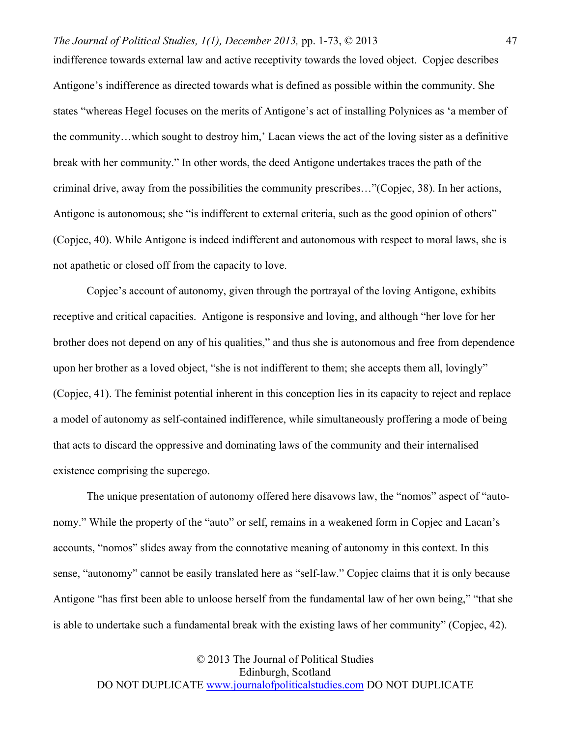indifference towards external law and active receptivity towards the loved object. Copjec describes Antigone's indifference as directed towards what is defined as possible within the community. She states "whereas Hegel focuses on the merits of Antigone's act of installing Polynices as 'a member of the community…which sought to destroy him,' Lacan views the act of the loving sister as a definitive break with her community." In other words, the deed Antigone undertakes traces the path of the criminal drive, away from the possibilities the community prescribes…"(Copjec, 38). In her actions, Antigone is autonomous; she "is indifferent to external criteria, such as the good opinion of others" (Copjec, 40). While Antigone is indeed indifferent and autonomous with respect to moral laws, she is not apathetic or closed off from the capacity to love.

Copjec's account of autonomy, given through the portrayal of the loving Antigone, exhibits receptive and critical capacities. Antigone is responsive and loving, and although "her love for her brother does not depend on any of his qualities," and thus she is autonomous and free from dependence upon her brother as a loved object, "she is not indifferent to them; she accepts them all, lovingly" (Copjec, 41). The feminist potential inherent in this conception lies in its capacity to reject and replace a model of autonomy as self-contained indifference, while simultaneously proffering a mode of being that acts to discard the oppressive and dominating laws of the community and their internalised existence comprising the superego.

The unique presentation of autonomy offered here disavows law, the "nomos" aspect of "autonomy." While the property of the "auto" or self, remains in a weakened form in Copjec and Lacan's accounts, "nomos" slides away from the connotative meaning of autonomy in this context. In this sense, "autonomy" cannot be easily translated here as "self-law." Copjec claims that it is only because Antigone "has first been able to unloose herself from the fundamental law of her own being," "that she is able to undertake such a fundamental break with the existing laws of her community" (Copjec, 42).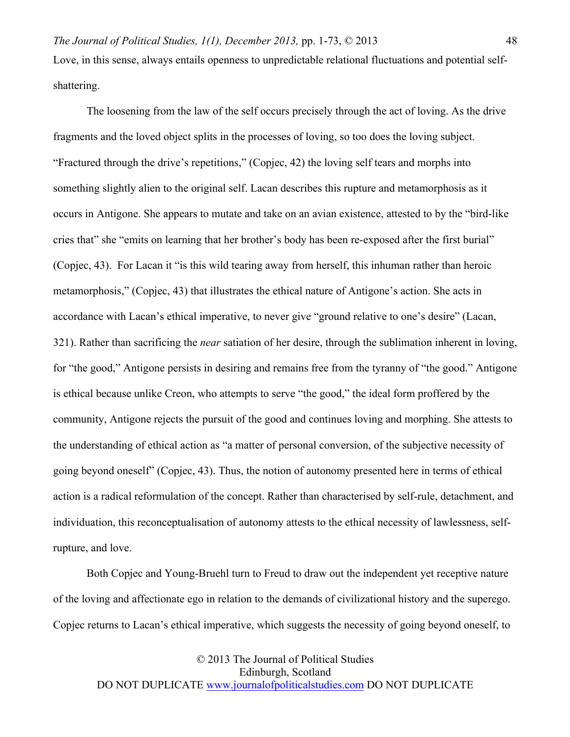48

The loosening from the law of the self occurs precisely through the act of loving. As the drive fragments and the loved object splits in the processes of loving, so too does the loving subject. "Fractured through the drive's repetitions," (Copjec, 42) the loving self tears and morphs into something slightly alien to the original self. Lacan describes this rupture and metamorphosis as it occurs in Antigone. She appears to mutate and take on an avian existence, attested to by the "bird-like cries that" she "emits on learning that her brother's body has been re-exposed after the first burial" (Copjec, 43). For Lacan it "is this wild tearing away from herself, this inhuman rather than heroic metamorphosis," (Copjec, 43) that illustrates the ethical nature of Antigone's action. She acts in accordance with Lacan's ethical imperative, to never give "ground relative to one's desire" (Lacan, 321). Rather than sacrificing the *near* satiation of her desire, through the sublimation inherent in loving, for "the good," Antigone persists in desiring and remains free from the tyranny of "the good." Antigone is ethical because unlike Creon, who attempts to serve "the good," the ideal form proffered by the community, Antigone rejects the pursuit of the good and continues loving and morphing. She attests to the understanding of ethical action as "a matter of personal conversion, of the subjective necessity of going beyond oneself" (Copjec, 43). Thus, the notion of autonomy presented here in terms of ethical action is a radical reformulation of the concept. Rather than characterised by self-rule, detachment, and individuation, this reconceptualisation of autonomy attests to the ethical necessity of lawlessness, selfrupture, and love.

Both Copjec and Young-Bruehl turn to Freud to draw out the independent yet receptive nature of the loving and affectionate ego in relation to the demands of civilizational history and the superego. Copjec returns to Lacan's ethical imperative, which suggests the necessity of going beyond oneself, to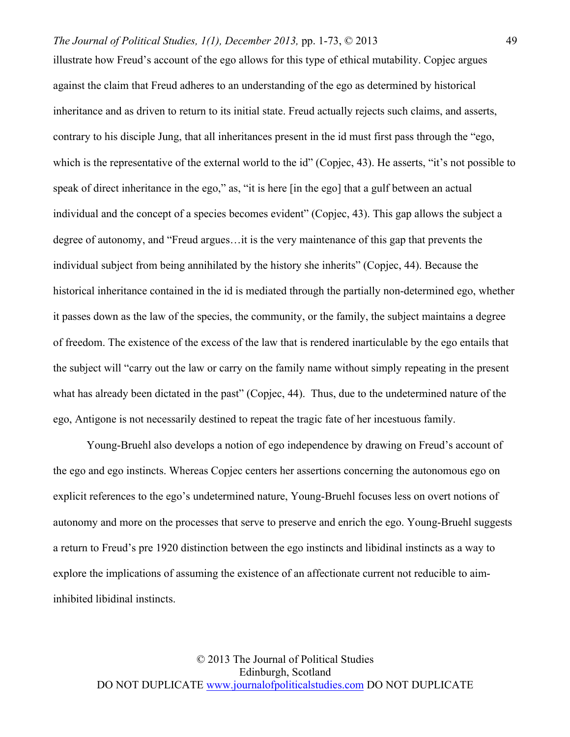illustrate how Freud's account of the ego allows for this type of ethical mutability. Copjec argues against the claim that Freud adheres to an understanding of the ego as determined by historical inheritance and as driven to return to its initial state. Freud actually rejects such claims, and asserts, contrary to his disciple Jung, that all inheritances present in the id must first pass through the "ego, which is the representative of the external world to the id" (Copjec, 43). He asserts, "it's not possible to speak of direct inheritance in the ego," as, "it is here [in the ego] that a gulf between an actual individual and the concept of a species becomes evident" (Copjec, 43). This gap allows the subject a degree of autonomy, and "Freud argues…it is the very maintenance of this gap that prevents the individual subject from being annihilated by the history she inherits" (Copjec, 44). Because the historical inheritance contained in the id is mediated through the partially non-determined ego, whether it passes down as the law of the species, the community, or the family, the subject maintains a degree of freedom. The existence of the excess of the law that is rendered inarticulable by the ego entails that the subject will "carry out the law or carry on the family name without simply repeating in the present what has already been dictated in the past" (Copjec, 44). Thus, due to the undetermined nature of the ego, Antigone is not necessarily destined to repeat the tragic fate of her incestuous family.

Young-Bruehl also develops a notion of ego independence by drawing on Freud's account of the ego and ego instincts. Whereas Copjec centers her assertions concerning the autonomous ego on explicit references to the ego's undetermined nature, Young-Bruehl focuses less on overt notions of autonomy and more on the processes that serve to preserve and enrich the ego. Young-Bruehl suggests a return to Freud's pre 1920 distinction between the ego instincts and libidinal instincts as a way to explore the implications of assuming the existence of an affectionate current not reducible to aiminhibited libidinal instincts.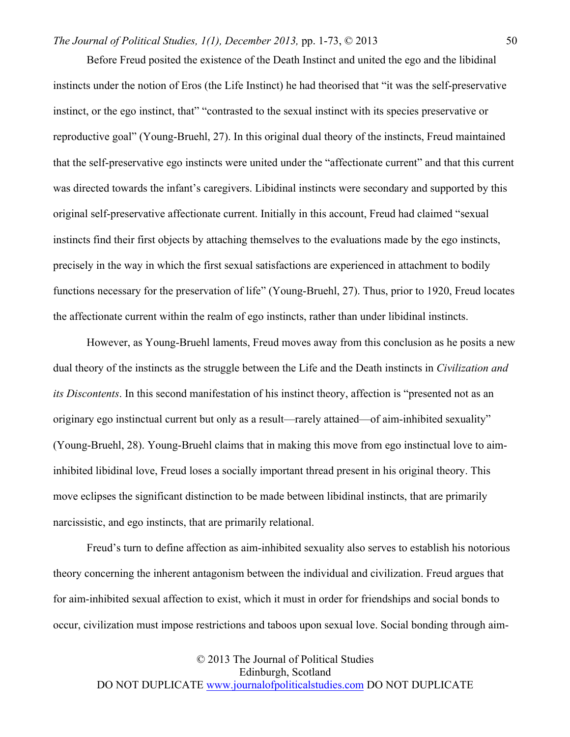Before Freud posited the existence of the Death Instinct and united the ego and the libidinal instincts under the notion of Eros (the Life Instinct) he had theorised that "it was the self-preservative instinct, or the ego instinct, that" "contrasted to the sexual instinct with its species preservative or reproductive goal" (Young-Bruehl, 27). In this original dual theory of the instincts, Freud maintained that the self-preservative ego instincts were united under the "affectionate current" and that this current was directed towards the infant's caregivers. Libidinal instincts were secondary and supported by this original self-preservative affectionate current. Initially in this account, Freud had claimed "sexual instincts find their first objects by attaching themselves to the evaluations made by the ego instincts, precisely in the way in which the first sexual satisfactions are experienced in attachment to bodily functions necessary for the preservation of life" (Young-Bruehl, 27). Thus, prior to 1920, Freud locates the affectionate current within the realm of ego instincts, rather than under libidinal instincts.

However, as Young-Bruehl laments, Freud moves away from this conclusion as he posits a new dual theory of the instincts as the struggle between the Life and the Death instincts in *Civilization and its Discontents*. In this second manifestation of his instinct theory, affection is "presented not as an originary ego instinctual current but only as a result—rarely attained—of aim-inhibited sexuality" (Young-Bruehl, 28). Young-Bruehl claims that in making this move from ego instinctual love to aiminhibited libidinal love, Freud loses a socially important thread present in his original theory. This move eclipses the significant distinction to be made between libidinal instincts, that are primarily narcissistic, and ego instincts, that are primarily relational.

Freud's turn to define affection as aim-inhibited sexuality also serves to establish his notorious theory concerning the inherent antagonism between the individual and civilization. Freud argues that for aim-inhibited sexual affection to exist, which it must in order for friendships and social bonds to occur, civilization must impose restrictions and taboos upon sexual love. Social bonding through aim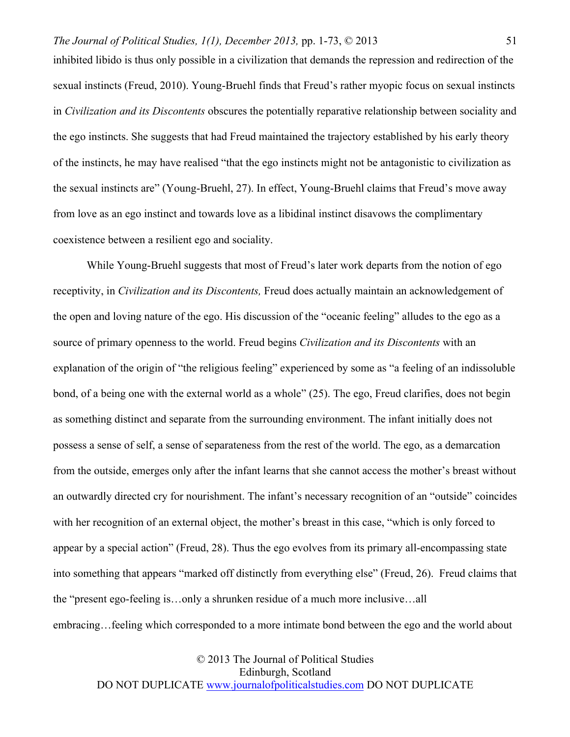inhibited libido is thus only possible in a civilization that demands the repression and redirection of the sexual instincts (Freud, 2010). Young-Bruehl finds that Freud's rather myopic focus on sexual instincts in *Civilization and its Discontents* obscures the potentially reparative relationship between sociality and the ego instincts. She suggests that had Freud maintained the trajectory established by his early theory of the instincts, he may have realised "that the ego instincts might not be antagonistic to civilization as the sexual instincts are" (Young-Bruehl, 27). In effect, Young-Bruehl claims that Freud's move away from love as an ego instinct and towards love as a libidinal instinct disavows the complimentary coexistence between a resilient ego and sociality.

While Young-Bruehl suggests that most of Freud's later work departs from the notion of ego receptivity, in *Civilization and its Discontents,* Freud does actually maintain an acknowledgement of the open and loving nature of the ego. His discussion of the "oceanic feeling" alludes to the ego as a source of primary openness to the world. Freud begins *Civilization and its Discontents* with an explanation of the origin of "the religious feeling" experienced by some as "a feeling of an indissoluble bond, of a being one with the external world as a whole" (25). The ego, Freud clarifies, does not begin as something distinct and separate from the surrounding environment. The infant initially does not possess a sense of self, a sense of separateness from the rest of the world. The ego, as a demarcation from the outside, emerges only after the infant learns that she cannot access the mother's breast without an outwardly directed cry for nourishment. The infant's necessary recognition of an "outside" coincides with her recognition of an external object, the mother's breast in this case, "which is only forced to appear by a special action" (Freud, 28). Thus the ego evolves from its primary all-encompassing state into something that appears "marked off distinctly from everything else" (Freud, 26). Freud claims that the "present ego-feeling is…only a shrunken residue of a much more inclusive…all embracing…feeling which corresponded to a more intimate bond between the ego and the world about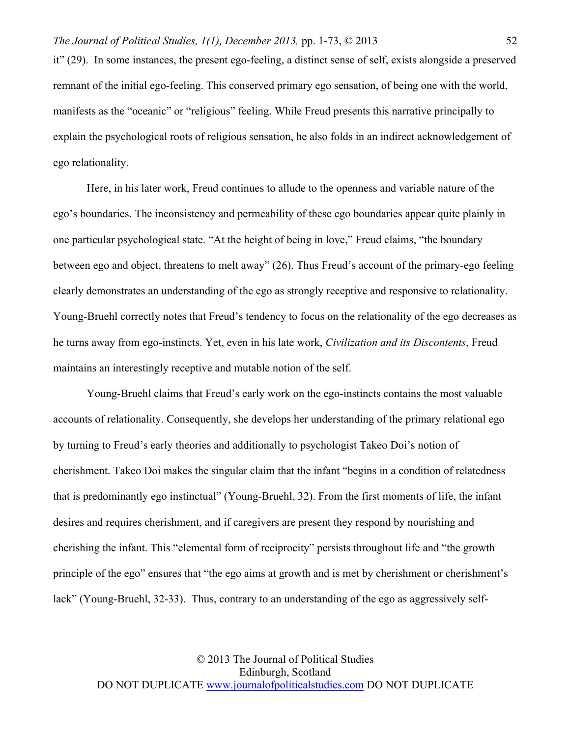it" (29). In some instances, the present ego-feeling, a distinct sense of self, exists alongside a preserved remnant of the initial ego-feeling. This conserved primary ego sensation, of being one with the world, manifests as the "oceanic" or "religious" feeling. While Freud presents this narrative principally to explain the psychological roots of religious sensation, he also folds in an indirect acknowledgement of ego relationality.

Here, in his later work, Freud continues to allude to the openness and variable nature of the ego's boundaries. The inconsistency and permeability of these ego boundaries appear quite plainly in one particular psychological state. "At the height of being in love," Freud claims, "the boundary between ego and object, threatens to melt away" (26). Thus Freud's account of the primary-ego feeling clearly demonstrates an understanding of the ego as strongly receptive and responsive to relationality. Young-Bruehl correctly notes that Freud's tendency to focus on the relationality of the ego decreases as he turns away from ego-instincts. Yet, even in his late work, *Civilization and its Discontents*, Freud maintains an interestingly receptive and mutable notion of the self.

Young-Bruehl claims that Freud's early work on the ego-instincts contains the most valuable accounts of relationality. Consequently, she develops her understanding of the primary relational ego by turning to Freud's early theories and additionally to psychologist Takeo Doi's notion of cherishment. Takeo Doi makes the singular claim that the infant "begins in a condition of relatedness that is predominantly ego instinctual" (Young-Bruehl, 32). From the first moments of life, the infant desires and requires cherishment, and if caregivers are present they respond by nourishing and cherishing the infant. This "elemental form of reciprocity" persists throughout life and "the growth principle of the ego" ensures that "the ego aims at growth and is met by cherishment or cherishment's lack" (Young-Bruehl, 32-33). Thus, contrary to an understanding of the ego as aggressively self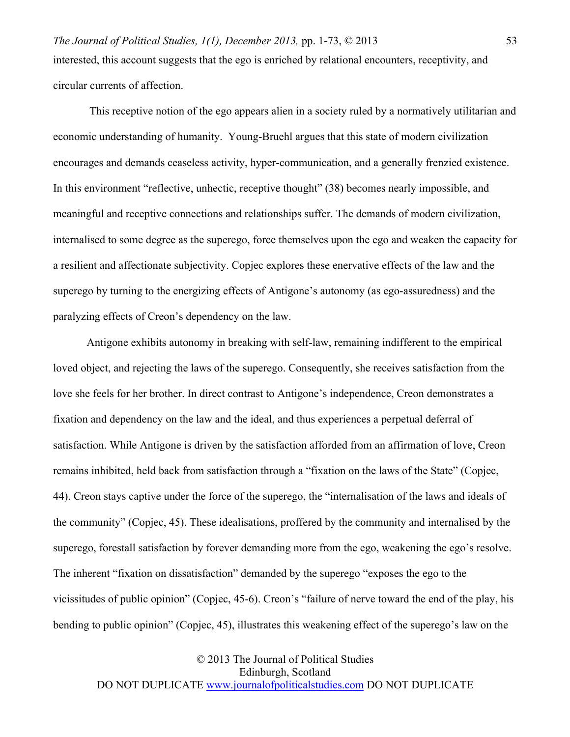*The Journal of Political Studies, 1(1), December 2013,* pp. 1-73, © 2013 53 interested, this account suggests that the ego is enriched by relational encounters, receptivity, and circular currents of affection.

This receptive notion of the ego appears alien in a society ruled by a normatively utilitarian and economic understanding of humanity. Young-Bruehl argues that this state of modern civilization encourages and demands ceaseless activity, hyper-communication, and a generally frenzied existence. In this environment "reflective, unhectic, receptive thought" (38) becomes nearly impossible, and meaningful and receptive connections and relationships suffer. The demands of modern civilization, internalised to some degree as the superego, force themselves upon the ego and weaken the capacity for a resilient and affectionate subjectivity. Copjec explores these enervative effects of the law and the superego by turning to the energizing effects of Antigone's autonomy (as ego-assuredness) and the paralyzing effects of Creon's dependency on the law.

Antigone exhibits autonomy in breaking with self-law, remaining indifferent to the empirical loved object, and rejecting the laws of the superego. Consequently, she receives satisfaction from the love she feels for her brother. In direct contrast to Antigone's independence, Creon demonstrates a fixation and dependency on the law and the ideal, and thus experiences a perpetual deferral of satisfaction. While Antigone is driven by the satisfaction afforded from an affirmation of love, Creon remains inhibited, held back from satisfaction through a "fixation on the laws of the State" (Copjec, 44). Creon stays captive under the force of the superego, the "internalisation of the laws and ideals of the community" (Copjec, 45). These idealisations, proffered by the community and internalised by the superego, forestall satisfaction by forever demanding more from the ego, weakening the ego's resolve. The inherent "fixation on dissatisfaction" demanded by the superego "exposes the ego to the vicissitudes of public opinion" (Copjec, 45-6). Creon's "failure of nerve toward the end of the play, his bending to public opinion" (Copjec, 45), illustrates this weakening effect of the superego's law on the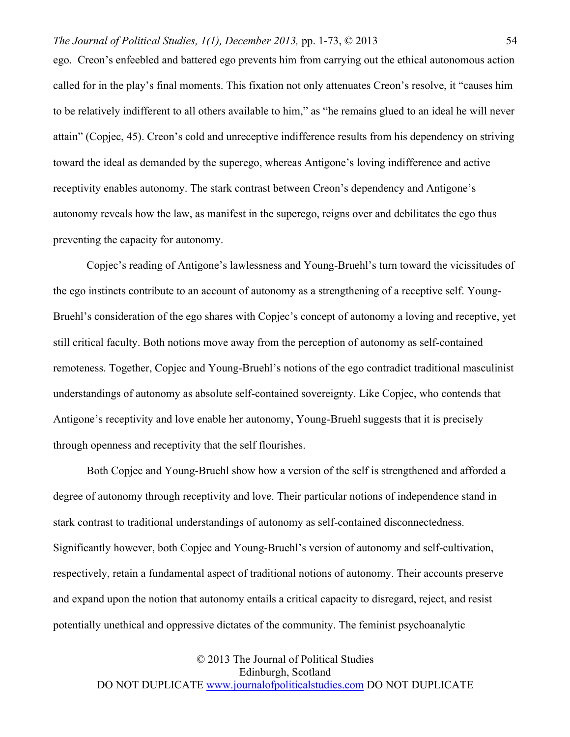ego. Creon's enfeebled and battered ego prevents him from carrying out the ethical autonomous action called for in the play's final moments. This fixation not only attenuates Creon's resolve, it "causes him to be relatively indifferent to all others available to him," as "he remains glued to an ideal he will never attain" (Copjec, 45). Creon's cold and unreceptive indifference results from his dependency on striving toward the ideal as demanded by the superego, whereas Antigone's loving indifference and active receptivity enables autonomy. The stark contrast between Creon's dependency and Antigone's autonomy reveals how the law, as manifest in the superego, reigns over and debilitates the ego thus preventing the capacity for autonomy.

Copjec's reading of Antigone's lawlessness and Young-Bruehl's turn toward the vicissitudes of the ego instincts contribute to an account of autonomy as a strengthening of a receptive self. Young-Bruehl's consideration of the ego shares with Copjec's concept of autonomy a loving and receptive, yet still critical faculty. Both notions move away from the perception of autonomy as self-contained remoteness. Together, Copjec and Young-Bruehl's notions of the ego contradict traditional masculinist understandings of autonomy as absolute self-contained sovereignty. Like Copjec, who contends that Antigone's receptivity and love enable her autonomy, Young-Bruehl suggests that it is precisely through openness and receptivity that the self flourishes.

Both Copjec and Young-Bruehl show how a version of the self is strengthened and afforded a degree of autonomy through receptivity and love. Their particular notions of independence stand in stark contrast to traditional understandings of autonomy as self-contained disconnectedness. Significantly however, both Copjec and Young-Bruehl's version of autonomy and self-cultivation, respectively, retain a fundamental aspect of traditional notions of autonomy. Their accounts preserve and expand upon the notion that autonomy entails a critical capacity to disregard, reject, and resist potentially unethical and oppressive dictates of the community. The feminist psychoanalytic